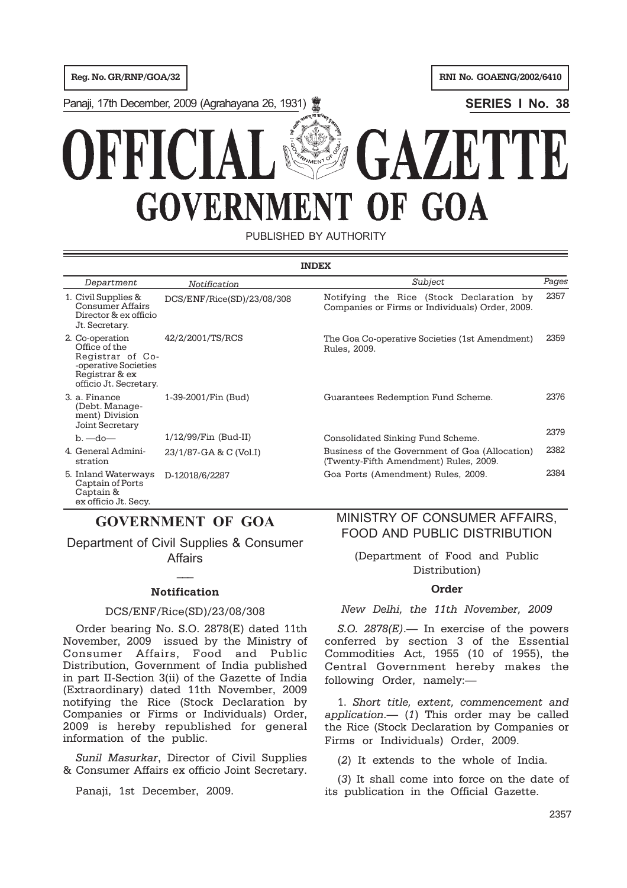**Reg. No. GR/RNP/GOA/32 RNI No. GOAENG/2002/6410** 

Panaji, 17th December, 2009 (Agrahayana 26, 1931) **SERIES I No. 38**



PUBLISHED BY AUTHORITY

| <b>INDEX</b>                                                                                                             |                            |                                                                                             |       |  |  |
|--------------------------------------------------------------------------------------------------------------------------|----------------------------|---------------------------------------------------------------------------------------------|-------|--|--|
| Department                                                                                                               | Notification               | Subject                                                                                     | Pages |  |  |
| 1. Civil Supplies &<br>Consumer Affairs<br>Director & ex officio<br>Jt. Secretary.                                       | DCS/ENF/Rice(SD)/23/08/308 | Notifying the Rice (Stock Declaration by<br>Companies or Firms or Individuals) Order, 2009. | 2357  |  |  |
| 2. Co-operation<br>Office of the<br>Registrar of Co-<br>-operative Societies<br>Registrar & ex<br>officio Jt. Secretary. | 42/2/2001/TS/RCS           | The Goa Co-operative Societies (1st Amendment)<br>Rules, 2009.                              | 2359  |  |  |
| 3. a. Finance<br>(Debt. Manage-<br>ment) Division<br>Joint Secretary                                                     | 1-39-2001/Fin (Bud)        | Guarantees Redemption Fund Scheme.                                                          | 2376  |  |  |
| $b.$ —do—                                                                                                                | $1/12/99$ /Fin (Bud-II)    | Consolidated Sinking Fund Scheme.                                                           | 2379  |  |  |
| 4. General Admini-<br>stration                                                                                           | 23/1/87-GA & C (Vol.I)     | Business of the Government of Goa (Allocation)<br>(Twenty-Fifth Amendment) Rules, 2009.     | 2382  |  |  |
| 5. Inland Waterways<br>Captain of Ports<br>Captain &                                                                     | D-12018/6/2287             | Goa Ports (Amendment) Rules, 2009.                                                          | 2384  |  |  |

# **GOVERNMENT OF GOA**

ex officio Jt. Secy.

Department of Civil Supplies & Consumer **Affairs** 

# $\overline{\phantom{a}}$ **Notification**

## DCS/ENF/Rice(SD)/23/08/308

Order bearing No. S.O. 2878(E) dated 11th November, 2009 issued by the Ministry of Consumer Affairs, Food and Public Distribution, Government of India published in part II-Section 3(ii) of the Gazette of India (Extraordinary) dated 11th November, 2009 notifying the Rice (Stock Declaration by Companies or Firms or Individuals) Order, 2009 is hereby republished for general information of the public.

*Sunil Masurkar*, Director of Civil Supplies & Consumer Affairs ex officio Joint Secretary.

Panaji, 1st December, 2009.

# MINISTRY OF CONSUMER AFFAIRS, FOOD AND PUBLIC DISTRIBUTION

(Department of Food and Public Distribution)

## **Order**

## *New Delhi, the 11th November, 2009*

*S.O. 2878(E)*.— In exercise of the powers conferred by section 3 of the Essential Commodities Act, 1955 (10 of 1955), the Central Government hereby makes the following Order, namely:—

1. *Short title, extent, commencement and application*.— (*1*) This order may be called the Rice (Stock Declaration by Companies or Firms or Individuals) Order, 2009.

(*2*) It extends to the whole of India.

(*3*) It shall come into force on the date of its publication in the Official Gazette.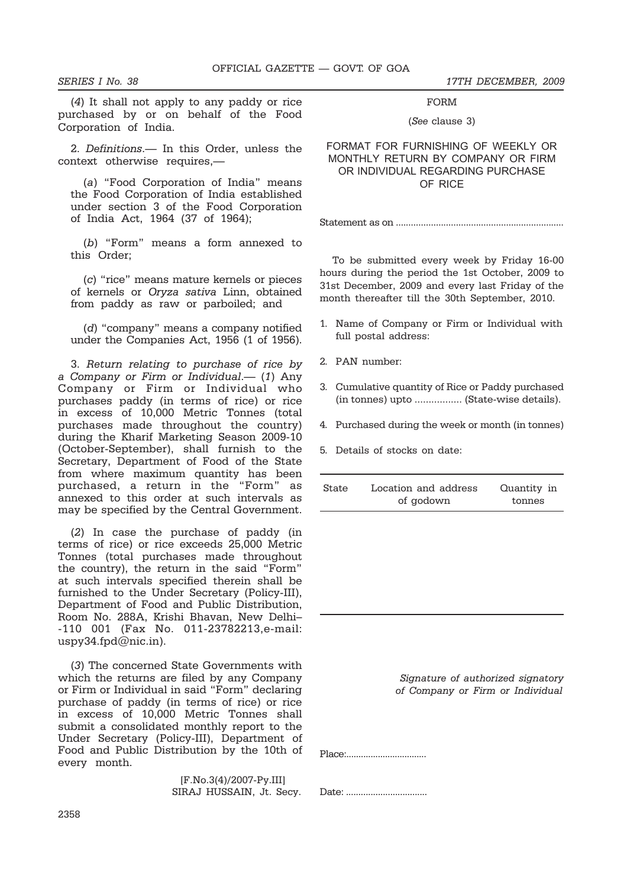*SERIES I No. 38 17TH DECEMBER, 2009*

(*4*) It shall not apply to any paddy or rice purchased by or on behalf of the Food Corporation of India.

2. *Definitions*.— In this Order, unless the context otherwise requires,—

(*a*) "Food Corporation of India" means the Food Corporation of India established under section 3 of the Food Corporation of India Act, 1964 (37 of 1964);

(*b*) "Form" means a form annexed to this Order;

(*c*) "rice" means mature kernels or pieces of kernels or *Oryza sativa* Linn, obtained from paddy as raw or parboiled; and

(*d*) "company" means a company notified under the Companies Act, 1956 (1 of 1956).

3. *Return relating to purchase of rice by a Company or Firm or Individual*.— (*1*) Any Company or Firm or Individual who purchases paddy (in terms of rice) or rice in excess of 10,000 Metric Tonnes (total purchases made throughout the country) during the Kharif Marketing Season 2009-10 (October-September), shall furnish to the Secretary, Department of Food of the State from where maximum quantity has been purchased, a return in the "Form" as annexed to this order at such intervals as may be specified by the Central Government.

(*2*) In case the purchase of paddy (in terms of rice) or rice exceeds 25,000 Metric Tonnes (total purchases made throughout the country), the return in the said "Form" at such intervals specified therein shall be furnished to the Under Secretary (Policy-III), Department of Food and Public Distribution, Room No. 288A, Krishi Bhavan, New Delhi– -110 001 (Fax No. 011-23782213,e-mail: uspy34.fpd $@$ nic.in).

(*3*) The concerned State Governments with which the returns are filed by any Company or Firm or Individual in said "Form" declaring purchase of paddy (in terms of rice) or rice in excess of 10,000 Metric Tonnes shall submit a consolidated monthly report to the Under Secretary (Policy-III), Department of Food and Public Distribution by the 10th of every month.

> [F.No.3(4)/2007-Py.III] SIRAJ HUSSAIN, Jt. Secy.

FORM (*See* clause 3)

## FORMAT FOR FURNISHING OF WEEKLY OR MONTHLY RETURN BY COMPANY OR FIRM OR INDIVIDUAL REGARDING PURCHASE OF RICE

Statement as on ...................................................................

To be submitted every week by Friday 16-00 hours during the period the 1st October, 2009 to 31st December, 2009 and every last Friday of the month thereafter till the 30th September, 2010.

- 1. Name of Company or Firm or Individual with full postal address:
- 2. PAN number:
- 3. Cumulative quantity of Rice or Paddy purchased (in tonnes) upto ................. (State-wise details).
- 4. Purchased during the week or month (in tonnes)
- 5. Details of stocks on date:

| <b>State</b> | Location and address | Quantity in |
|--------------|----------------------|-------------|
|              | of godown            | tonnes      |

 *Signature of authorized signatory of Company or Firm or Individual*

Place:.................................

Date: .................................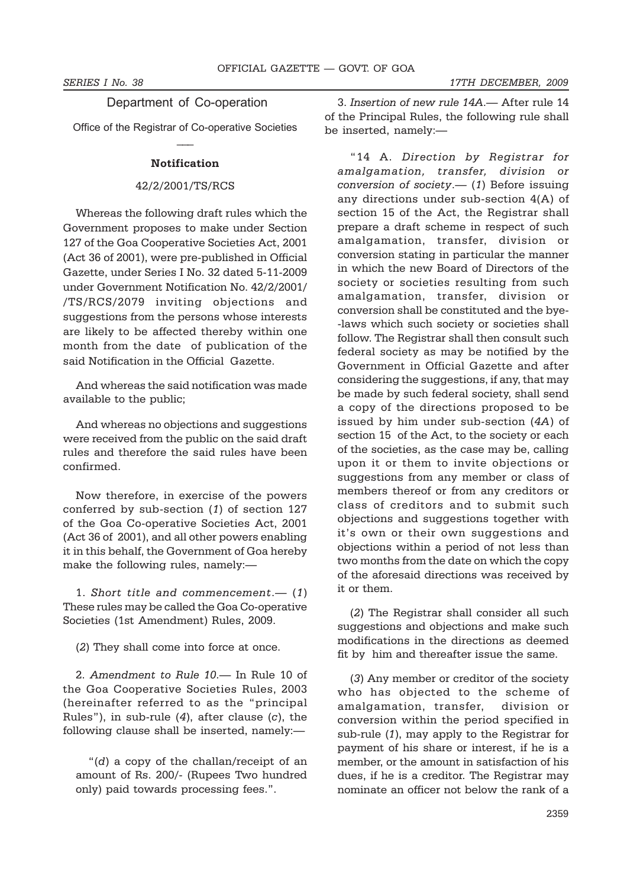## Department of Co-operation

Office of the Registrar of Co-operative Societies  $\overline{\phantom{a}}$ 

### **Notification**

### 42/2/2001/TS/RCS

Whereas the following draft rules which the Government proposes to make under Section 127 of the Goa Cooperative Societies Act, 2001 (Act 36 of 2001), were pre-published in Official Gazette, under Series I No. 32 dated 5-11-2009 under Government Notification No. 42/2/2001/ /TS/RCS/2079 inviting objections and suggestions from the persons whose interests are likely to be affected thereby within one month from the date of publication of the said Notification in the Official Gazette.

And whereas the said notification was made available to the public;

And whereas no objections and suggestions were received from the public on the said draft rules and therefore the said rules have been confirmed.

Now therefore, in exercise of the powers conferred by sub-section (*1*) of section 127 of the Goa Co-operative Societies Act, 2001 (Act 36 of 2001), and all other powers enabling it in this behalf, the Government of Goa hereby make the following rules, namely:—

1. *Short title and commencement*.— (*1*) These rules may be called the Goa Co-operative Societies (1st Amendment) Rules, 2009.

(*2*) They shall come into force at once.

2. *Amendment to Rule 10*.— In Rule 10 of the Goa Cooperative Societies Rules, 2003 (hereinafter referred to as the "principal Rules"), in sub-rule (*4*), after clause (*c*), the following clause shall be inserted, namely:—

"(*d*) a copy of the challan/receipt of an amount of Rs. 200/- (Rupees Two hundred only) paid towards processing fees.".

3. *Insertion of new rule 14A*.— After rule 14 of the Principal Rules, the following rule shall be inserted, namely:—

"14 A. *Direction by Registrar for amalgamation, transfer, division or conversion of society*.— (*1*) Before issuing any directions under sub-section 4(A) of section 15 of the Act, the Registrar shall prepare a draft scheme in respect of such amalgamation, transfer, division or conversion stating in particular the manner in which the new Board of Directors of the society or societies resulting from such amalgamation, transfer, division or conversion shall be constituted and the bye- -laws which such society or societies shall follow. The Registrar shall then consult such federal society as may be notified by the Government in Official Gazette and after considering the suggestions, if any, that may be made by such federal society, shall send a copy of the directions proposed to be issued by him under sub-section (*4A*) of section 15 of the Act, to the society or each of the societies, as the case may be, calling upon it or them to invite objections or suggestions from any member or class of members thereof or from any creditors or class of creditors and to submit such objections and suggestions together with it's own or their own suggestions and objections within a period of not less than two months from the date on which the copy of the aforesaid directions was received by it or them.

(*2*) The Registrar shall consider all such suggestions and objections and make such modifications in the directions as deemed fit by him and thereafter issue the same.

(*3*) Any member or creditor of the society who has objected to the scheme of amalgamation, transfer, division or conversion within the period specified in sub-rule (*1*), may apply to the Registrar for payment of his share or interest, if he is a member, or the amount in satisfaction of his dues, if he is a creditor. The Registrar may nominate an officer not below the rank of a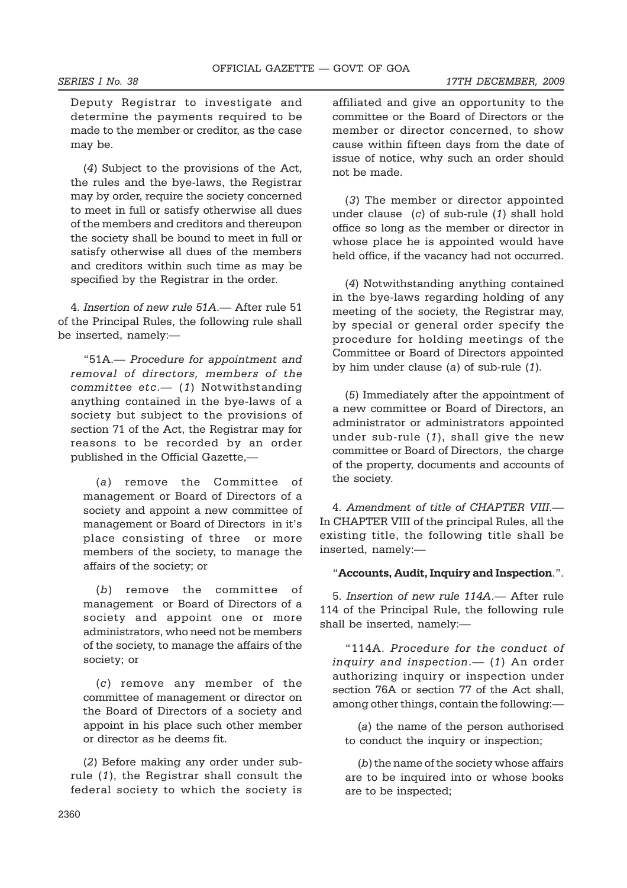Deputy Registrar to investigate and determine the payments required to be made to the member or creditor, as the case may be.

(*4*) Subject to the provisions of the Act, the rules and the bye-laws, the Registrar may by order, require the society concerned to meet in full or satisfy otherwise all dues of the members and creditors and thereupon the society shall be bound to meet in full or satisfy otherwise all dues of the members and creditors within such time as may be specified by the Registrar in the order.

4. *Insertion of new rule 51A*.— After rule 51 of the Principal Rules, the following rule shall be inserted, namely:—

"51A.— *Procedure for appointment and removal of directors, members of the committee etc*.— (*1*) Notwithstanding anything contained in the bye-laws of a society but subject to the provisions of section 71 of the Act, the Registrar may for reasons to be recorded by an order published in the Official Gazette,—

(*a*) remove the Committee of management or Board of Directors of a society and appoint a new committee of management or Board of Directors in it's place consisting of three or more members of the society, to manage the affairs of the society; or

(*b*) remove the committee of management or Board of Directors of a society and appoint one or more administrators, who need not be members of the society, to manage the affairs of the society; or

(*c*) remove any member of the committee of management or director on the Board of Directors of a society and appoint in his place such other member or director as he deems fit.

(*2*) Before making any order under subrule (*1*), the Registrar shall consult the federal society to which the society is affiliated and give an opportunity to the committee or the Board of Directors or the member or director concerned, to show cause within fifteen days from the date of issue of notice, why such an order should not be made.

(*3*) The member or director appointed under clause (*c*) of sub-rule (*1*) shall hold office so long as the member or director in whose place he is appointed would have held office, if the vacancy had not occurred.

(*4*) Notwithstanding anything contained in the bye-laws regarding holding of any meeting of the society, the Registrar may, by special or general order specify the procedure for holding meetings of the Committee or Board of Directors appointed by him under clause (*a*) of sub-rule (*1*).

(*5*) Immediately after the appointment of a new committee or Board of Directors, an administrator or administrators appointed under sub-rule (*1*), shall give the new committee or Board of Directors, the charge of the property, documents and accounts of the society.

4. *Amendment of title of CHAPTER VIII*.— In CHAPTER VIII of the principal Rules, all the existing title, the following title shall be inserted, namely:—

### "**Accounts, Audit, Inquiry and Inspection**.".

5. *Insertion of new rule 114A*.— After rule 114 of the Principal Rule, the following rule shall be inserted, namely:—

"114A. *Procedure for the conduct of inquiry and inspection*.— (*1*) An order authorizing inquiry or inspection under section 76A or section 77 of the Act shall, among other things, contain the following:—

(*a*) the name of the person authorised to conduct the inquiry or inspection;

(*b*) the name of the society whose affairs are to be inquired into or whose books are to be inspected;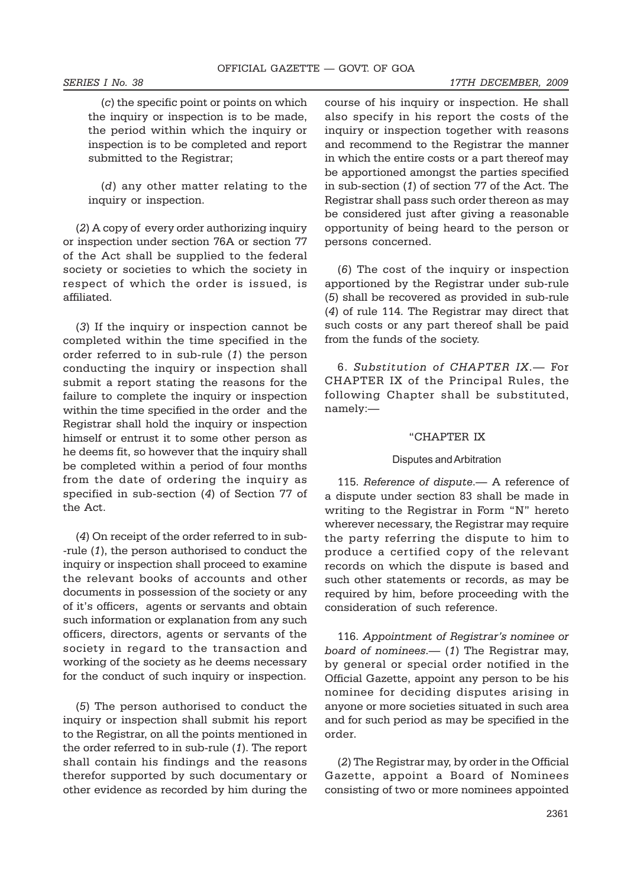(*c*) the specific point or points on which the inquiry or inspection is to be made, the period within which the inquiry or inspection is to be completed and report submitted to the Registrar;

(*d*) any other matter relating to the inquiry or inspection.

(*2*) A copy of every order authorizing inquiry or inspection under section 76A or section 77 of the Act shall be supplied to the federal society or societies to which the society in respect of which the order is issued, is affiliated.

(*3*) If the inquiry or inspection cannot be completed within the time specified in the order referred to in sub-rule (*1*) the person conducting the inquiry or inspection shall submit a report stating the reasons for the failure to complete the inquiry or inspection within the time specified in the order and the Registrar shall hold the inquiry or inspection himself or entrust it to some other person as he deems fit, so however that the inquiry shall be completed within a period of four months from the date of ordering the inquiry as specified in sub-section (*4*) of Section 77 of the Act.

(*4*) On receipt of the order referred to in sub- -rule (*1*), the person authorised to conduct the inquiry or inspection shall proceed to examine the relevant books of accounts and other documents in possession of the society or any of it's officers, agents or servants and obtain such information or explanation from any such officers, directors, agents or servants of the society in regard to the transaction and working of the society as he deems necessary for the conduct of such inquiry or inspection.

(*5*) The person authorised to conduct the inquiry or inspection shall submit his report to the Registrar, on all the points mentioned in the order referred to in sub-rule (*1*). The report shall contain his findings and the reasons therefor supported by such documentary or other evidence as recorded by him during the

course of his inquiry or inspection. He shall also specify in his report the costs of the inquiry or inspection together with reasons and recommend to the Registrar the manner in which the entire costs or a part thereof may be apportioned amongst the parties specified in sub-section (*1*) of section 77 of the Act. The Registrar shall pass such order thereon as may be considered just after giving a reasonable opportunity of being heard to the person or persons concerned.

(*6*) The cost of the inquiry or inspection apportioned by the Registrar under sub-rule (*5*) shall be recovered as provided in sub-rule (*4*) of rule 114. The Registrar may direct that such costs or any part thereof shall be paid from the funds of the society.

6. *Substitution of CHAPTER IX*.— For CHAPTER IX of the Principal Rules, the following Chapter shall be substituted, namely:—

### "CHAPTER IX

### Disputes and Arbitration

115. *Reference of dispute*.— A reference of a dispute under section 83 shall be made in writing to the Registrar in Form "N" hereto wherever necessary, the Registrar may require the party referring the dispute to him to produce a certified copy of the relevant records on which the dispute is based and such other statements or records, as may be required by him, before proceeding with the consideration of such reference.

116. *Appointment of Registrar's nominee or board of nominees*.— (*1*) The Registrar may, by general or special order notified in the Official Gazette, appoint any person to be his nominee for deciding disputes arising in anyone or more societies situated in such area and for such period as may be specified in the order.

(*2*) The Registrar may, by order in the Official Gazette, appoint a Board of Nominees consisting of two or more nominees appointed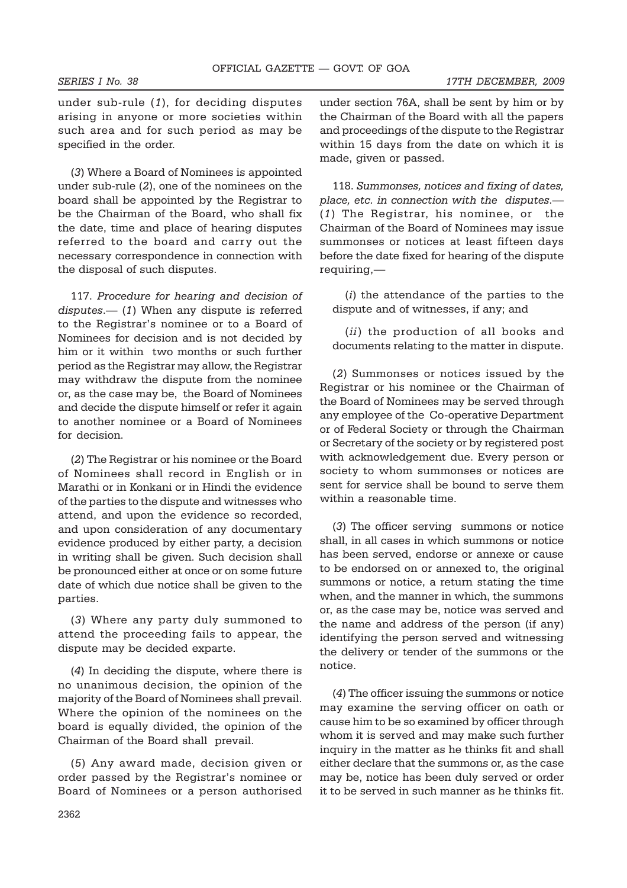under sub-rule (*1*), for deciding disputes arising in anyone or more societies within such area and for such period as may be specified in the order.

(*3*) Where a Board of Nominees is appointed under sub-rule (*2*), one of the nominees on the board shall be appointed by the Registrar to be the Chairman of the Board, who shall fix the date, time and place of hearing disputes referred to the board and carry out the necessary correspondence in connection with the disposal of such disputes.

117. *Procedure for hearing and decision of disputes*.— (*1*) When any dispute is referred to the Registrar's nominee or to a Board of Nominees for decision and is not decided by him or it within two months or such further period as the Registrar may allow, the Registrar may withdraw the dispute from the nominee or, as the case may be, the Board of Nominees and decide the dispute himself or refer it again to another nominee or a Board of Nominees for decision.

(*2*) The Registrar or his nominee or the Board of Nominees shall record in English or in Marathi or in Konkani or in Hindi the evidence of the parties to the dispute and witnesses who attend, and upon the evidence so recorded, and upon consideration of any documentary evidence produced by either party, a decision in writing shall be given. Such decision shall be pronounced either at once or on some future date of which due notice shall be given to the parties.

(*3*) Where any party duly summoned to attend the proceeding fails to appear, the dispute may be decided exparte.

(*4*) In deciding the dispute, where there is no unanimous decision, the opinion of the majority of the Board of Nominees shall prevail. Where the opinion of the nominees on the board is equally divided, the opinion of the Chairman of the Board shall prevail.

(*5*) Any award made, decision given or order passed by the Registrar's nominee or Board of Nominees or a person authorised under section 76A, shall be sent by him or by the Chairman of the Board with all the papers and proceedings of the dispute to the Registrar within 15 days from the date on which it is made, given or passed.

118. *Summonses, notices and fixing of dates, place, etc. in connection with the disputes*.— (*1*) The Registrar, his nominee, or the Chairman of the Board of Nominees may issue summonses or notices at least fifteen days before the date fixed for hearing of the dispute requiring,—

(*i*) the attendance of the parties to the dispute and of witnesses, if any; and

(*ii*) the production of all books and documents relating to the matter in dispute.

(*2*) Summonses or notices issued by the Registrar or his nominee or the Chairman of the Board of Nominees may be served through any employee of the Co-operative Department or of Federal Society or through the Chairman or Secretary of the society or by registered post with acknowledgement due. Every person or society to whom summonses or notices are sent for service shall be bound to serve them within a reasonable time.

(*3*) The officer serving summons or notice shall, in all cases in which summons or notice has been served, endorse or annexe or cause to be endorsed on or annexed to, the original summons or notice, a return stating the time when, and the manner in which, the summons or, as the case may be, notice was served and the name and address of the person (if any) identifying the person served and witnessing the delivery or tender of the summons or the notice.

(*4*) The officer issuing the summons or notice may examine the serving officer on oath or cause him to be so examined by officer through whom it is served and may make such further inquiry in the matter as he thinks fit and shall either declare that the summons or, as the case may be, notice has been duly served or order it to be served in such manner as he thinks fit.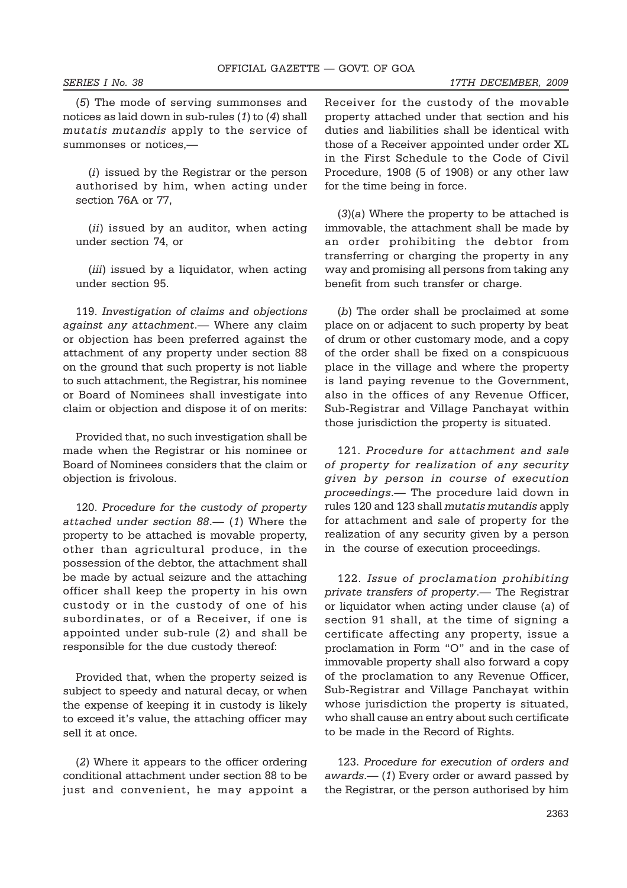(*5*) The mode of serving summonses and notices as laid down in sub-rules (*1*) to (*4*) shall *mutatis mutandis* apply to the service of summonses or notices,—

(*i*) issued by the Registrar or the person authorised by him, when acting under section 76A or 77,

(*ii*) issued by an auditor, when acting under section 74, or

(*iii*) issued by a liquidator, when acting under section 95.

119. *Investigation of claims and objections against any attachment*.— Where any claim or objection has been preferred against the attachment of any property under section 88 on the ground that such property is not liable to such attachment, the Registrar, his nominee or Board of Nominees shall investigate into claim or objection and dispose it of on merits:

Provided that, no such investigation shall be made when the Registrar or his nominee or Board of Nominees considers that the claim or objection is frivolous.

120. *Procedure for the custody of property attached under section 88*.— (*1*) Where the property to be attached is movable property, other than agricultural produce, in the possession of the debtor, the attachment shall be made by actual seizure and the attaching officer shall keep the property in his own custody or in the custody of one of his subordinates, or of a Receiver, if one is appointed under sub-rule (2) and shall be responsible for the due custody thereof:

Provided that, when the property seized is subject to speedy and natural decay, or when the expense of keeping it in custody is likely to exceed it's value, the attaching officer may sell it at once.

(*2*) Where it appears to the officer ordering conditional attachment under section 88 to be just and convenient, he may appoint a Receiver for the custody of the movable property attached under that section and his duties and liabilities shall be identical with those of a Receiver appointed under order XL in the First Schedule to the Code of Civil Procedure, 1908 (5 of 1908) or any other law for the time being in force.

(*3*)(*a*) Where the property to be attached is immovable, the attachment shall be made by an order prohibiting the debtor from transferring or charging the property in any way and promising all persons from taking any benefit from such transfer or charge.

(*b*) The order shall be proclaimed at some place on or adjacent to such property by beat of drum or other customary mode, and a copy of the order shall be fixed on a conspicuous place in the village and where the property is land paying revenue to the Government, also in the offices of any Revenue Officer, Sub-Registrar and Village Panchayat within those jurisdiction the property is situated.

121. *Procedure for attachment and sale of property for realization of any security given by person in course of execution proceedings*.— The procedure laid down in rules 120 and 123 shall *mutatis mutandis* apply for attachment and sale of property for the realization of any security given by a person in the course of execution proceedings.

122. *Issue of proclamation prohibiting private transfers of property*.— The Registrar or liquidator when acting under clause (*a*) of section 91 shall, at the time of signing a certificate affecting any property, issue a proclamation in Form "O" and in the case of immovable property shall also forward a copy of the proclamation to any Revenue Officer, Sub-Registrar and Village Panchayat within whose jurisdiction the property is situated, who shall cause an entry about such certificate to be made in the Record of Rights.

123. *Procedure for execution of orders and awards*.— (*1*) Every order or award passed by the Registrar, or the person authorised by him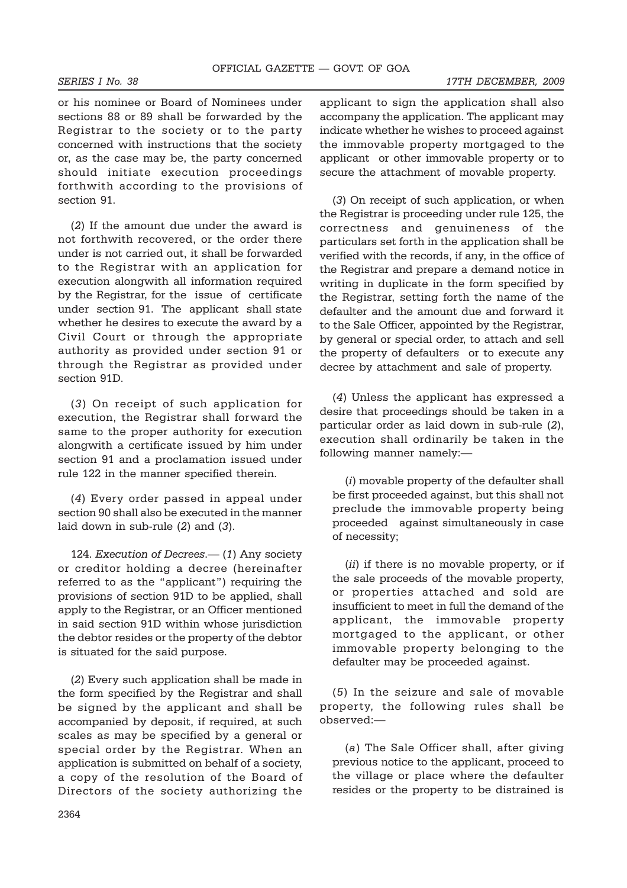*SERIES I No. 38 17TH DECEMBER, 2009*

or his nominee or Board of Nominees under sections 88 or 89 shall be forwarded by the Registrar to the society or to the party concerned with instructions that the society or, as the case may be, the party concerned should initiate execution proceedings forthwith according to the provisions of section 91.

(*2*) If the amount due under the award is not forthwith recovered, or the order there under is not carried out, it shall be forwarded to the Registrar with an application for execution alongwith all information required by the Registrar, for the issue of certificate under section 91. The applicant shall state whether he desires to execute the award by a Civil Court or through the appropriate authority as provided under section 91 or through the Registrar as provided under section 91D.

(*3*) On receipt of such application for execution, the Registrar shall forward the same to the proper authority for execution alongwith a certificate issued by him under section 91 and a proclamation issued under rule 122 in the manner specified therein.

(*4*) Every order passed in appeal under section 90 shall also be executed in the manner laid down in sub-rule (*2*) and (*3*).

124. *Execution of Decrees*.— (*1*) Any society or creditor holding a decree (hereinafter referred to as the "applicant") requiring the provisions of section 91D to be applied, shall apply to the Registrar, or an Officer mentioned in said section 91D within whose jurisdiction the debtor resides or the property of the debtor is situated for the said purpose.

(*2*) Every such application shall be made in the form specified by the Registrar and shall be signed by the applicant and shall be accompanied by deposit, if required, at such scales as may be specified by a general or special order by the Registrar. When an application is submitted on behalf of a society, a copy of the resolution of the Board of Directors of the society authorizing the applicant to sign the application shall also accompany the application. The applicant may indicate whether he wishes to proceed against the immovable property mortgaged to the applicant or other immovable property or to secure the attachment of movable property.

(*3*) On receipt of such application, or when the Registrar is proceeding under rule 125, the correctness and genuineness of the particulars set forth in the application shall be verified with the records, if any, in the office of the Registrar and prepare a demand notice in writing in duplicate in the form specified by the Registrar, setting forth the name of the defaulter and the amount due and forward it to the Sale Officer, appointed by the Registrar, by general or special order, to attach and sell the property of defaulters or to execute any decree by attachment and sale of property.

(*4*) Unless the applicant has expressed a desire that proceedings should be taken in a particular order as laid down in sub-rule (*2*), execution shall ordinarily be taken in the following manner namely:—

(*i*) movable property of the defaulter shall be first proceeded against, but this shall not preclude the immovable property being proceeded against simultaneously in case of necessity;

(*ii*) if there is no movable property, or if the sale proceeds of the movable property, or properties attached and sold are insufficient to meet in full the demand of the applicant, the immovable property mortgaged to the applicant, or other immovable property belonging to the defaulter may be proceeded against.

(*5*) In the seizure and sale of movable property, the following rules shall be observed:—

(*a*) The Sale Officer shall, after giving previous notice to the applicant, proceed to the village or place where the defaulter resides or the property to be distrained is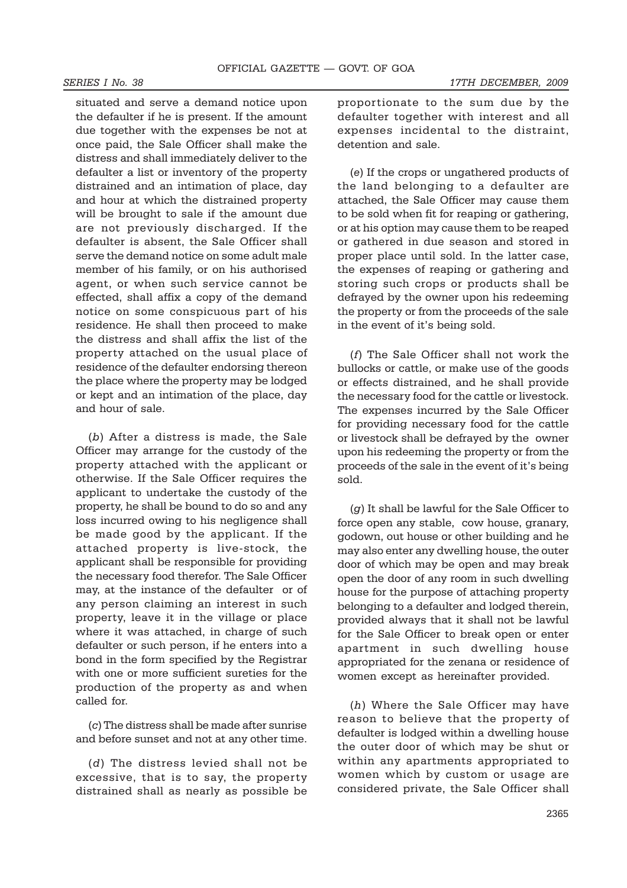situated and serve a demand notice upon the defaulter if he is present. If the amount due together with the expenses be not at once paid, the Sale Officer shall make the distress and shall immediately deliver to the defaulter a list or inventory of the property distrained and an intimation of place, day and hour at which the distrained property will be brought to sale if the amount due are not previously discharged. If the defaulter is absent, the Sale Officer shall serve the demand notice on some adult male member of his family, or on his authorised agent, or when such service cannot be effected, shall affix a copy of the demand notice on some conspicuous part of his residence. He shall then proceed to make the distress and shall affix the list of the property attached on the usual place of residence of the defaulter endorsing thereon the place where the property may be lodged or kept and an intimation of the place, day and hour of sale.

(*b*) After a distress is made, the Sale Officer may arrange for the custody of the property attached with the applicant or otherwise. If the Sale Officer requires the applicant to undertake the custody of the property, he shall be bound to do so and any loss incurred owing to his negligence shall be made good by the applicant. If the attached property is live-stock, the applicant shall be responsible for providing the necessary food therefor. The Sale Officer may, at the instance of the defaulter or of any person claiming an interest in such property, leave it in the village or place where it was attached, in charge of such defaulter or such person, if he enters into a bond in the form specified by the Registrar with one or more sufficient sureties for the production of the property as and when called for.

(*c*) The distress shall be made after sunrise and before sunset and not at any other time.

(*d*) The distress levied shall not be excessive, that is to say, the property distrained shall as nearly as possible be proportionate to the sum due by the defaulter together with interest and all expenses incidental to the distraint, detention and sale.

(*e*) If the crops or ungathered products of the land belonging to a defaulter are attached, the Sale Officer may cause them to be sold when fit for reaping or gathering, or at his option may cause them to be reaped or gathered in due season and stored in proper place until sold. In the latter case, the expenses of reaping or gathering and storing such crops or products shall be defrayed by the owner upon his redeeming the property or from the proceeds of the sale in the event of it's being sold.

(*f*) The Sale Officer shall not work the bullocks or cattle, or make use of the goods or effects distrained, and he shall provide the necessary food for the cattle or livestock. The expenses incurred by the Sale Officer for providing necessary food for the cattle or livestock shall be defrayed by the owner upon his redeeming the property or from the proceeds of the sale in the event of it's being sold.

(*g*) It shall be lawful for the Sale Officer to force open any stable, cow house, granary, godown, out house or other building and he may also enter any dwelling house, the outer door of which may be open and may break open the door of any room in such dwelling house for the purpose of attaching property belonging to a defaulter and lodged therein, provided always that it shall not be lawful for the Sale Officer to break open or enter apartment in such dwelling house appropriated for the zenana or residence of women except as hereinafter provided.

(*h*) Where the Sale Officer may have reason to believe that the property of defaulter is lodged within a dwelling house the outer door of which may be shut or within any apartments appropriated to women which by custom or usage are considered private, the Sale Officer shall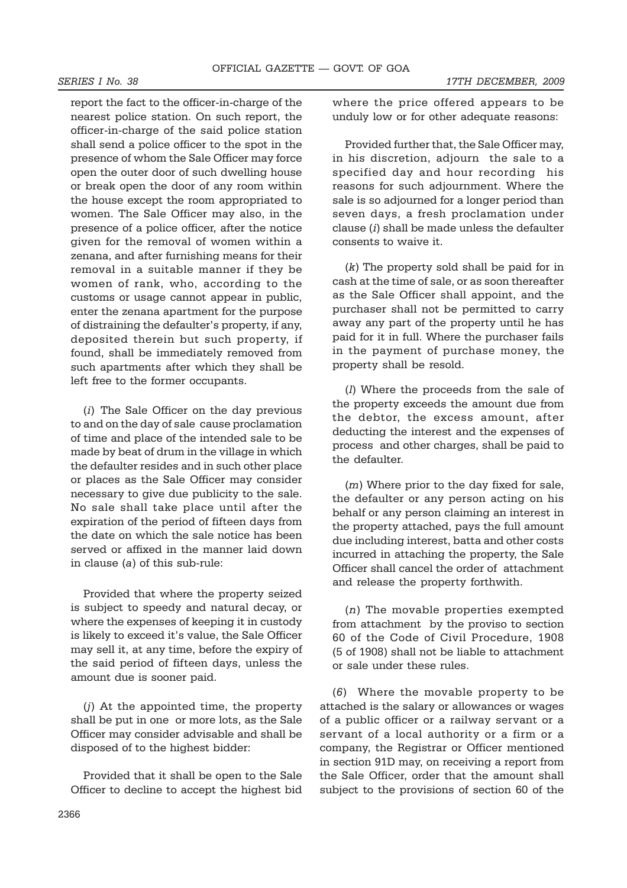report the fact to the officer-in-charge of the nearest police station. On such report, the officer-in-charge of the said police station shall send a police officer to the spot in the presence of whom the Sale Officer may force open the outer door of such dwelling house or break open the door of any room within the house except the room appropriated to women. The Sale Officer may also, in the presence of a police officer, after the notice given for the removal of women within a zenana, and after furnishing means for their removal in a suitable manner if they be women of rank, who, according to the customs or usage cannot appear in public, enter the zenana apartment for the purpose of distraining the defaulter's property, if any, deposited therein but such property, if found, shall be immediately removed from such apartments after which they shall be left free to the former occupants.

(*i*) The Sale Officer on the day previous to and on the day of sale cause proclamation of time and place of the intended sale to be made by beat of drum in the village in which the defaulter resides and in such other place or places as the Sale Officer may consider necessary to give due publicity to the sale. No sale shall take place until after the expiration of the period of fifteen days from the date on which the sale notice has been served or affixed in the manner laid down in clause (*a*) of this sub-rule:

Provided that where the property seized is subject to speedy and natural decay, or where the expenses of keeping it in custody is likely to exceed it's value, the Sale Officer may sell it, at any time, before the expiry of the said period of fifteen days, unless the amount due is sooner paid.

(*j*) At the appointed time, the property shall be put in one or more lots, as the Sale Officer may consider advisable and shall be disposed of to the highest bidder:

Provided that it shall be open to the Sale Officer to decline to accept the highest bid where the price offered appears to be unduly low or for other adequate reasons:

Provided further that, the Sale Officer may, in his discretion, adjourn the sale to a specified day and hour recording his reasons for such adjournment. Where the sale is so adjourned for a longer period than seven days, a fresh proclamation under clause (*i*) shall be made unless the defaulter consents to waive it.

(*k*) The property sold shall be paid for in cash at the time of sale, or as soon thereafter as the Sale Officer shall appoint, and the purchaser shall not be permitted to carry away any part of the property until he has paid for it in full. Where the purchaser fails in the payment of purchase money, the property shall be resold.

(*l*) Where the proceeds from the sale of the property exceeds the amount due from the debtor, the excess amount, after deducting the interest and the expenses of process and other charges, shall be paid to the defaulter.

(*m*) Where prior to the day fixed for sale, the defaulter or any person acting on his behalf or any person claiming an interest in the property attached, pays the full amount due including interest, batta and other costs incurred in attaching the property, the Sale Officer shall cancel the order of attachment and release the property forthwith.

(*n*) The movable properties exempted from attachment by the proviso to section 60 of the Code of Civil Procedure, 1908 (5 of 1908) shall not be liable to attachment or sale under these rules.

(*6*) Where the movable property to be attached is the salary or allowances or wages of a public officer or a railway servant or a servant of a local authority or a firm or a company, the Registrar or Officer mentioned in section 91D may, on receiving a report from the Sale Officer, order that the amount shall subject to the provisions of section 60 of the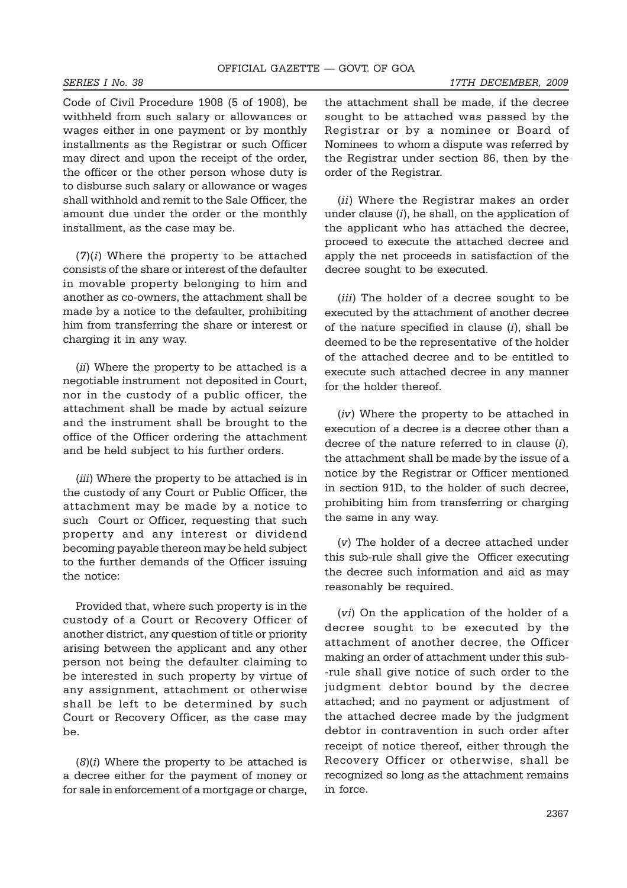*SERIES I No. 38 17TH DECEMBER, 2009*

Code of Civil Procedure 1908 (5 of 1908), be withheld from such salary or allowances or wages either in one payment or by monthly installments as the Registrar or such Officer may direct and upon the receipt of the order, the officer or the other person whose duty is to disburse such salary or allowance or wages shall withhold and remit to the Sale Officer, the amount due under the order or the monthly installment, as the case may be.

(*7*)(*i*) Where the property to be attached consists of the share or interest of the defaulter in movable property belonging to him and another as co-owners, the attachment shall be made by a notice to the defaulter, prohibiting him from transferring the share or interest or charging it in any way.

(*ii*) Where the property to be attached is a negotiable instrument not deposited in Court, nor in the custody of a public officer, the attachment shall be made by actual seizure and the instrument shall be brought to the office of the Officer ordering the attachment and be held subject to his further orders.

(*iii*) Where the property to be attached is in the custody of any Court or Public Officer, the attachment may be made by a notice to such Court or Officer, requesting that such property and any interest or dividend becoming payable thereon may be held subject to the further demands of the Officer issuing the notice:

Provided that, where such property is in the custody of a Court or Recovery Officer of another district, any question of title or priority arising between the applicant and any other person not being the defaulter claiming to be interested in such property by virtue of any assignment, attachment or otherwise shall be left to be determined by such Court or Recovery Officer, as the case may be.

(*8*)(*i*) Where the property to be attached is a decree either for the payment of money or for sale in enforcement of a mortgage or charge,

the attachment shall be made, if the decree sought to be attached was passed by the Registrar or by a nominee or Board of Nominees to whom a dispute was referred by the Registrar under section 86, then by the order of the Registrar.

(*ii*) Where the Registrar makes an order under clause (*i*), he shall, on the application of the applicant who has attached the decree, proceed to execute the attached decree and apply the net proceeds in satisfaction of the decree sought to be executed.

(*iii*) The holder of a decree sought to be executed by the attachment of another decree of the nature specified in clause (*i*), shall be deemed to be the representative of the holder of the attached decree and to be entitled to execute such attached decree in any manner for the holder thereof.

(*iv*) Where the property to be attached in execution of a decree is a decree other than a decree of the nature referred to in clause (*i*), the attachment shall be made by the issue of a notice by the Registrar or Officer mentioned in section 91D, to the holder of such decree, prohibiting him from transferring or charging the same in any way.

(*v*) The holder of a decree attached under this sub-rule shall give the Officer executing the decree such information and aid as may reasonably be required.

(*vi*) On the application of the holder of a decree sought to be executed by the attachment of another decree, the Officer making an order of attachment under this sub- -rule shall give notice of such order to the judgment debtor bound by the decree attached; and no payment or adjustment of the attached decree made by the judgment debtor in contravention in such order after receipt of notice thereof, either through the Recovery Officer or otherwise, shall be recognized so long as the attachment remains in force.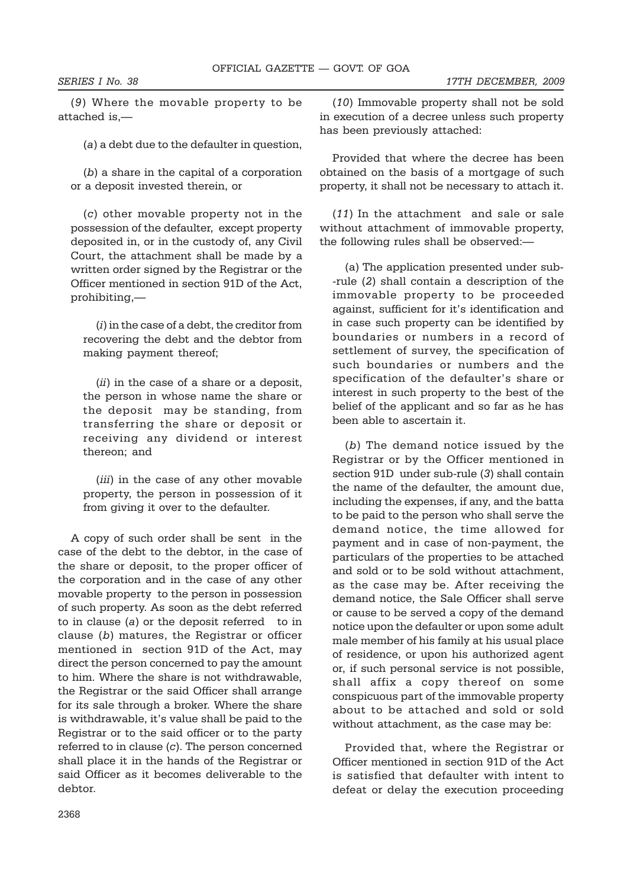(*9*) Where the movable property to be attached is,—

(*a*) a debt due to the defaulter in question,

(*b*) a share in the capital of a corporation or a deposit invested therein, or

(*c*) other movable property not in the possession of the defaulter, except property deposited in, or in the custody of, any Civil Court, the attachment shall be made by a written order signed by the Registrar or the Officer mentioned in section 91D of the Act, prohibiting,—

(*i*) in the case of a debt, the creditor from recovering the debt and the debtor from making payment thereof;

(*ii*) in the case of a share or a deposit, the person in whose name the share or the deposit may be standing, from transferring the share or deposit or receiving any dividend or interest thereon; and

(*iii*) in the case of any other movable property, the person in possession of it from giving it over to the defaulter.

A copy of such order shall be sent in the case of the debt to the debtor, in the case of the share or deposit, to the proper officer of the corporation and in the case of any other movable property to the person in possession of such property. As soon as the debt referred to in clause (*a*) or the deposit referred to in clause (*b*) matures, the Registrar or officer mentioned in section 91D of the Act, may direct the person concerned to pay the amount to him. Where the share is not withdrawable, the Registrar or the said Officer shall arrange for its sale through a broker. Where the share is withdrawable, it's value shall be paid to the Registrar or to the said officer or to the party referred to in clause (*c*). The person concerned shall place it in the hands of the Registrar or said Officer as it becomes deliverable to the debtor.

(*10*) Immovable property shall not be sold in execution of a decree unless such property has been previously attached:

Provided that where the decree has been obtained on the basis of a mortgage of such property, it shall not be necessary to attach it.

(*11*) In the attachment and sale or sale without attachment of immovable property, the following rules shall be observed:—

(a) The application presented under sub- -rule (*2*) shall contain a description of the immovable property to be proceeded against, sufficient for it's identification and in case such property can be identified by boundaries or numbers in a record of settlement of survey, the specification of such boundaries or numbers and the specification of the defaulter's share or interest in such property to the best of the belief of the applicant and so far as he has been able to ascertain it.

(*b*) The demand notice issued by the Registrar or by the Officer mentioned in section 91D under sub-rule (*3*) shall contain the name of the defaulter, the amount due, including the expenses, if any, and the batta to be paid to the person who shall serve the demand notice, the time allowed for payment and in case of non-payment, the particulars of the properties to be attached and sold or to be sold without attachment, as the case may be. After receiving the demand notice, the Sale Officer shall serve or cause to be served a copy of the demand notice upon the defaulter or upon some adult male member of his family at his usual place of residence, or upon his authorized agent or, if such personal service is not possible, shall affix a copy thereof on some conspicuous part of the immovable property about to be attached and sold or sold without attachment, as the case may be:

Provided that, where the Registrar or Officer mentioned in section 91D of the Act is satisfied that defaulter with intent to defeat or delay the execution proceeding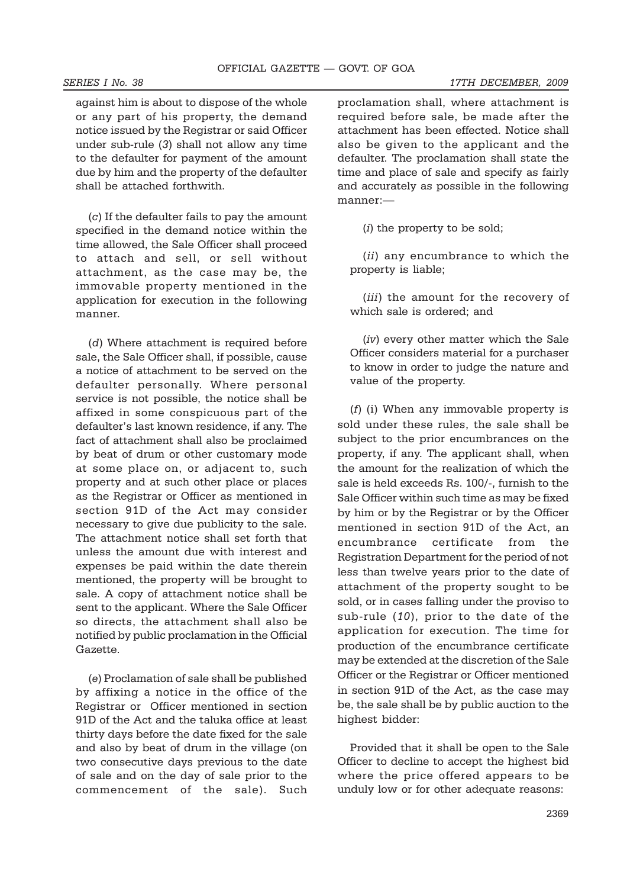against him is about to dispose of the whole or any part of his property, the demand notice issued by the Registrar or said Officer under sub-rule (*3*) shall not allow any time to the defaulter for payment of the amount due by him and the property of the defaulter shall be attached forthwith.

(*c*) If the defaulter fails to pay the amount specified in the demand notice within the time allowed, the Sale Officer shall proceed to attach and sell, or sell without attachment, as the case may be, the immovable property mentioned in the application for execution in the following manner.

(*d*) Where attachment is required before sale, the Sale Officer shall, if possible, cause a notice of attachment to be served on the defaulter personally. Where personal service is not possible, the notice shall be affixed in some conspicuous part of the defaulter's last known residence, if any. The fact of attachment shall also be proclaimed by beat of drum or other customary mode at some place on, or adjacent to, such property and at such other place or places as the Registrar or Officer as mentioned in section 91D of the Act may consider necessary to give due publicity to the sale. The attachment notice shall set forth that unless the amount due with interest and expenses be paid within the date therein mentioned, the property will be brought to sale. A copy of attachment notice shall be sent to the applicant. Where the Sale Officer so directs, the attachment shall also be notified by public proclamation in the Official Gazette.

(*e*) Proclamation of sale shall be published by affixing a notice in the office of the Registrar or Officer mentioned in section 91D of the Act and the taluka office at least thirty days before the date fixed for the sale and also by beat of drum in the village (on two consecutive days previous to the date of sale and on the day of sale prior to the commencement of the sale). Such

proclamation shall, where attachment is required before sale, be made after the attachment has been effected. Notice shall also be given to the applicant and the defaulter. The proclamation shall state the time and place of sale and specify as fairly and accurately as possible in the following manner:—

(*i*) the property to be sold;

(*ii*) any encumbrance to which the property is liable;

(*iii*) the amount for the recovery of which sale is ordered; and

(*iv*) every other matter which the Sale Officer considers material for a purchaser to know in order to judge the nature and value of the property.

(*f*) (i) When any immovable property is sold under these rules, the sale shall be subject to the prior encumbrances on the property, if any. The applicant shall, when the amount for the realization of which the sale is held exceeds Rs. 100/-, furnish to the Sale Officer within such time as may be fixed by him or by the Registrar or by the Officer mentioned in section 91D of the Act, an encumbrance certificate from the Registration Department for the period of not less than twelve years prior to the date of attachment of the property sought to be sold, or in cases falling under the proviso to sub-rule (*10*), prior to the date of the application for execution. The time for production of the encumbrance certificate may be extended at the discretion of the Sale Officer or the Registrar or Officer mentioned in section 91D of the Act, as the case may be, the sale shall be by public auction to the highest bidder:

Provided that it shall be open to the Sale Officer to decline to accept the highest bid where the price offered appears to be unduly low or for other adequate reasons: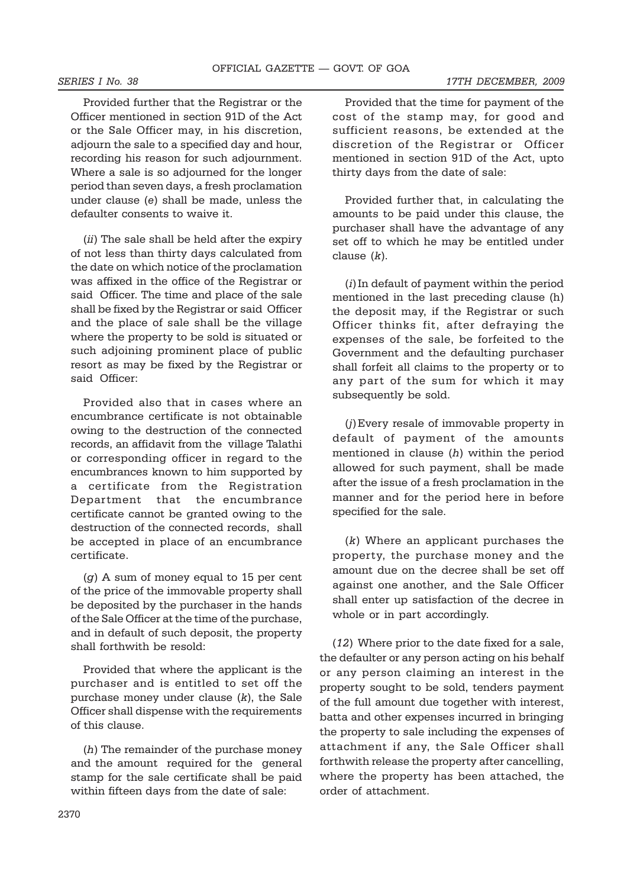Provided further that the Registrar or the Officer mentioned in section 91D of the Act or the Sale Officer may, in his discretion, adjourn the sale to a specified day and hour, recording his reason for such adjournment. Where a sale is so adjourned for the longer period than seven days, a fresh proclamation under clause (*e*) shall be made, unless the defaulter consents to waive it.

(*ii*) The sale shall be held after the expiry of not less than thirty days calculated from the date on which notice of the proclamation was affixed in the office of the Registrar or said Officer. The time and place of the sale shall be fixed by the Registrar or said Officer and the place of sale shall be the village where the property to be sold is situated or such adjoining prominent place of public resort as may be fixed by the Registrar or said Officer:

Provided also that in cases where an encumbrance certificate is not obtainable owing to the destruction of the connected records, an affidavit from the village Talathi or corresponding officer in regard to the encumbrances known to him supported by a certificate from the Registration Department that the encumbrance certificate cannot be granted owing to the destruction of the connected records, shall be accepted in place of an encumbrance certificate.

(*g*) A sum of money equal to 15 per cent of the price of the immovable property shall be deposited by the purchaser in the hands of the Sale Officer at the time of the purchase, and in default of such deposit, the property shall forthwith be resold:

Provided that where the applicant is the purchaser and is entitled to set off the purchase money under clause (*k*), the Sale Officer shall dispense with the requirements of this clause.

(*h*) The remainder of the purchase money and the amount required for the general stamp for the sale certificate shall be paid within fifteen days from the date of sale:

Provided that the time for payment of the cost of the stamp may, for good and sufficient reasons, be extended at the discretion of the Registrar or Officer mentioned in section 91D of the Act, upto thirty days from the date of sale:

Provided further that, in calculating the amounts to be paid under this clause, the purchaser shall have the advantage of any set off to which he may be entitled under clause (*k*).

(*i*)In default of payment within the period mentioned in the last preceding clause (h) the deposit may, if the Registrar or such Officer thinks fit, after defraying the expenses of the sale, be forfeited to the Government and the defaulting purchaser shall forfeit all claims to the property or to any part of the sum for which it may subsequently be sold.

(*j*)Every resale of immovable property in default of payment of the amounts mentioned in clause (*h*) within the period allowed for such payment, shall be made after the issue of a fresh proclamation in the manner and for the period here in before specified for the sale.

(*k*) Where an applicant purchases the property, the purchase money and the amount due on the decree shall be set off against one another, and the Sale Officer shall enter up satisfaction of the decree in whole or in part accordingly.

(*12*) Where prior to the date fixed for a sale, the defaulter or any person acting on his behalf or any person claiming an interest in the property sought to be sold, tenders payment of the full amount due together with interest, batta and other expenses incurred in bringing the property to sale including the expenses of attachment if any, the Sale Officer shall forthwith release the property after cancelling, where the property has been attached, the order of attachment.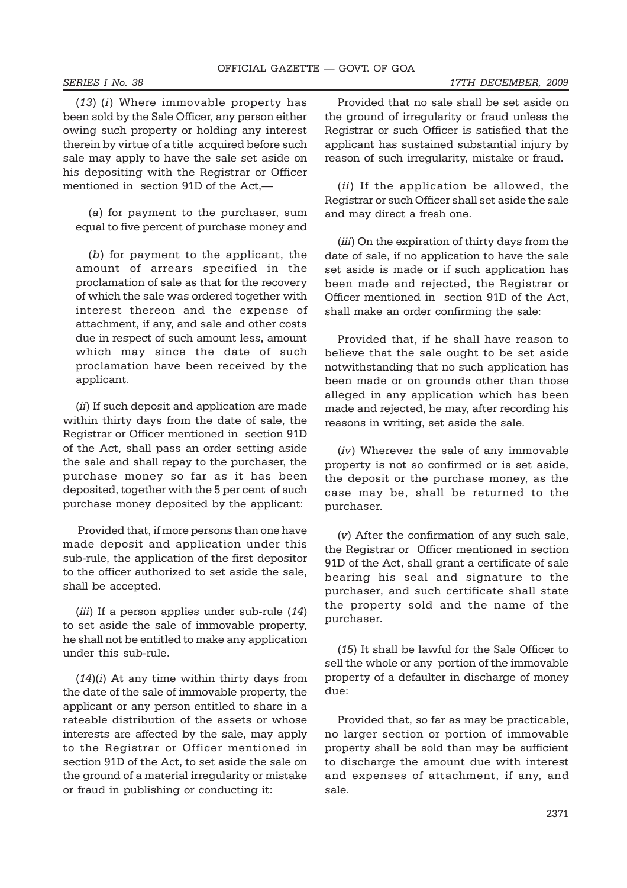(*13*) (*i*) Where immovable property has been sold by the Sale Officer, any person either owing such property or holding any interest therein by virtue of a title acquired before such sale may apply to have the sale set aside on his depositing with the Registrar or Officer mentioned in section 91D of the Act,—

(*a*) for payment to the purchaser, sum equal to five percent of purchase money and

(*b*) for payment to the applicant, the amount of arrears specified in the proclamation of sale as that for the recovery of which the sale was ordered together with interest thereon and the expense of attachment, if any, and sale and other costs due in respect of such amount less, amount which may since the date of such proclamation have been received by the applicant.

(*ii*) If such deposit and application are made within thirty days from the date of sale, the Registrar or Officer mentioned in section 91D of the Act, shall pass an order setting aside the sale and shall repay to the purchaser, the purchase money so far as it has been deposited, together with the 5 per cent of such purchase money deposited by the applicant:

 Provided that, if more persons than one have made deposit and application under this sub-rule, the application of the first depositor to the officer authorized to set aside the sale, shall be accepted.

(*iii*) If a person applies under sub-rule (*14*) to set aside the sale of immovable property, he shall not be entitled to make any application under this sub-rule.

(*14*)(*i*) At any time within thirty days from the date of the sale of immovable property, the applicant or any person entitled to share in a rateable distribution of the assets or whose interests are affected by the sale, may apply to the Registrar or Officer mentioned in section 91D of the Act, to set aside the sale on the ground of a material irregularity or mistake or fraud in publishing or conducting it:

Provided that no sale shall be set aside on the ground of irregularity or fraud unless the Registrar or such Officer is satisfied that the applicant has sustained substantial injury by reason of such irregularity, mistake or fraud.

(*ii*) If the application be allowed, the Registrar or such Officer shall set aside the sale and may direct a fresh one.

(*iii*) On the expiration of thirty days from the date of sale, if no application to have the sale set aside is made or if such application has been made and rejected, the Registrar or Officer mentioned in section 91D of the Act, shall make an order confirming the sale:

Provided that, if he shall have reason to believe that the sale ought to be set aside notwithstanding that no such application has been made or on grounds other than those alleged in any application which has been made and rejected, he may, after recording his reasons in writing, set aside the sale.

(*iv*) Wherever the sale of any immovable property is not so confirmed or is set aside, the deposit or the purchase money, as the case may be, shall be returned to the purchaser.

(*v*) After the confirmation of any such sale, the Registrar or Officer mentioned in section 91D of the Act, shall grant a certificate of sale bearing his seal and signature to the purchaser, and such certificate shall state the property sold and the name of the purchaser.

(*15*) It shall be lawful for the Sale Officer to sell the whole or any portion of the immovable property of a defaulter in discharge of money due:

Provided that, so far as may be practicable, no larger section or portion of immovable property shall be sold than may be sufficient to discharge the amount due with interest and expenses of attachment, if any, and sale.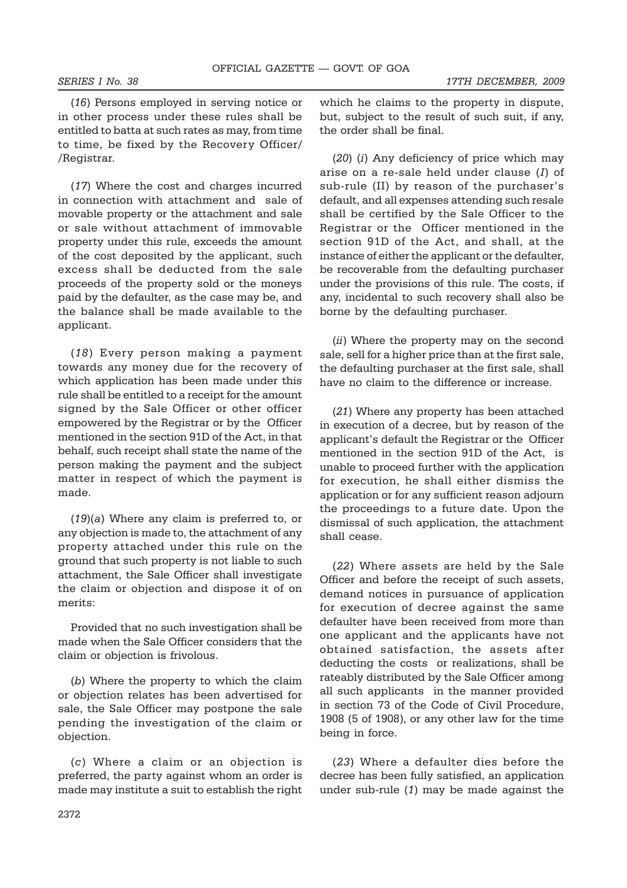(*16*) Persons employed in serving notice or in other process under these rules shall be entitled to batta at such rates as may, from time to time, be fixed by the Recovery Officer/ /Registrar.

(*17*) Where the cost and charges incurred in connection with attachment and sale of movable property or the attachment and sale or sale without attachment of immovable property under this rule, exceeds the amount of the cost deposited by the applicant, such excess shall be deducted from the sale proceeds of the property sold or the moneys paid by the defaulter, as the case may be, and the balance shall be made available to the applicant.

(*18*) Every person making a payment towards any money due for the recovery of which application has been made under this rule shall be entitled to a receipt for the amount signed by the Sale Officer or other officer empowered by the Registrar or by the Officer mentioned in the section 91D of the Act, in that behalf, such receipt shall state the name of the person making the payment and the subject matter in respect of which the payment is made.

(*19*)(*a*) Where any claim is preferred to, or any objection is made to, the attachment of any property attached under this rule on the ground that such property is not liable to such attachment, the Sale Officer shall investigate the claim or objection and dispose it of on merits:

Provided that no such investigation shall be made when the Sale Officer considers that the claim or objection is frivolous.

(*b*) Where the property to which the claim or objection relates has been advertised for sale, the Sale Officer may postpone the sale pending the investigation of the claim or objection.

(*c*) Where a claim or an objection is preferred, the party against whom an order is made may institute a suit to establish the right

which he claims to the property in dispute, but, subject to the result of such suit, if any, the order shall be final.

(*20*) (*i*) Any deficiency of price which may arise on a re-sale held under clause (*I*) of sub-rule (II) by reason of the purchaser's default, and all expenses attending such resale shall be certified by the Sale Officer to the Registrar or the Officer mentioned in the section 91D of the Act, and shall, at the instance of either the applicant or the defaulter, be recoverable from the defaulting purchaser under the provisions of this rule. The costs, if any, incidental to such recovery shall also be borne by the defaulting purchaser.

(*ii*) Where the property may on the second sale, sell for a higher price than at the first sale, the defaulting purchaser at the first sale, shall have no claim to the difference or increase.

(*21*) Where any property has been attached in execution of a decree, but by reason of the applicant's default the Registrar or the Officer mentioned in the section 91D of the Act, is unable to proceed further with the application for execution, he shall either dismiss the application or for any sufficient reason adjourn the proceedings to a future date. Upon the dismissal of such application, the attachment shall cease.

(*22*) Where assets are held by the Sale Officer and before the receipt of such assets, demand notices in pursuance of application for execution of decree against the same defaulter have been received from more than one applicant and the applicants have not obtained satisfaction, the assets after deducting the costs or realizations, shall be rateably distributed by the Sale Officer among all such applicants in the manner provided in section 73 of the Code of Civil Procedure, 1908 (5 of 1908), or any other law for the time being in force.

(*23*) Where a defaulter dies before the decree has been fully satisfied, an application under sub-rule (*1*) may be made against the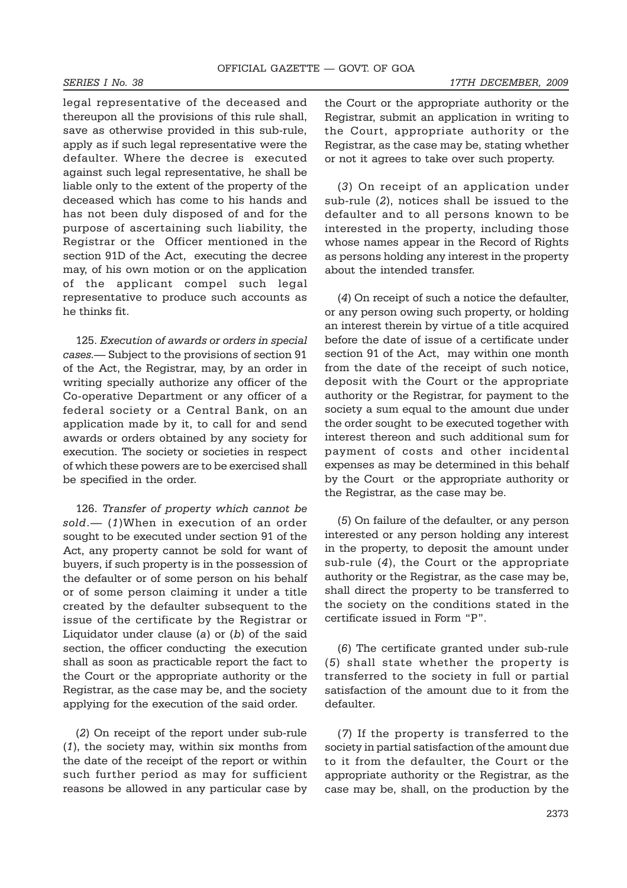legal representative of the deceased and thereupon all the provisions of this rule shall, save as otherwise provided in this sub-rule, apply as if such legal representative were the defaulter. Where the decree is executed against such legal representative, he shall be liable only to the extent of the property of the deceased which has come to his hands and has not been duly disposed of and for the purpose of ascertaining such liability, the Registrar or the Officer mentioned in the section 91D of the Act, executing the decree may, of his own motion or on the application of the applicant compel such legal representative to produce such accounts as he thinks fit.

125. *Execution of awards or orders in special cases*.— Subject to the provisions of section 91 of the Act, the Registrar, may, by an order in writing specially authorize any officer of the Co-operative Department or any officer of a federal society or a Central Bank, on an application made by it, to call for and send awards or orders obtained by any society for execution. The society or societies in respect of which these powers are to be exercised shall be specified in the order.

126. *Transfer of property which cannot be sold*.— (*1*)When in execution of an order sought to be executed under section 91 of the Act, any property cannot be sold for want of buyers, if such property is in the possession of the defaulter or of some person on his behalf or of some person claiming it under a title created by the defaulter subsequent to the issue of the certificate by the Registrar or Liquidator under clause (*a*) or (*b*) of the said section, the officer conducting the execution shall as soon as practicable report the fact to the Court or the appropriate authority or the Registrar, as the case may be, and the society applying for the execution of the said order.

(*2*) On receipt of the report under sub-rule (*1*), the society may, within six months from the date of the receipt of the report or within such further period as may for sufficient reasons be allowed in any particular case by

the Court or the appropriate authority or the Registrar, submit an application in writing to the Court, appropriate authority or the Registrar, as the case may be, stating whether or not it agrees to take over such property.

(*3*) On receipt of an application under sub-rule (*2*), notices shall be issued to the defaulter and to all persons known to be interested in the property, including those whose names appear in the Record of Rights as persons holding any interest in the property about the intended transfer.

(*4*) On receipt of such a notice the defaulter, or any person owing such property, or holding an interest therein by virtue of a title acquired before the date of issue of a certificate under section 91 of the Act, may within one month from the date of the receipt of such notice, deposit with the Court or the appropriate authority or the Registrar, for payment to the society a sum equal to the amount due under the order sought to be executed together with interest thereon and such additional sum for payment of costs and other incidental expenses as may be determined in this behalf by the Court or the appropriate authority or the Registrar, as the case may be.

(*5*) On failure of the defaulter, or any person interested or any person holding any interest in the property, to deposit the amount under sub-rule (*4*), the Court or the appropriate authority or the Registrar, as the case may be, shall direct the property to be transferred to the society on the conditions stated in the certificate issued in Form "P".

(*6*) The certificate granted under sub-rule (*5*) shall state whether the property is transferred to the society in full or partial satisfaction of the amount due to it from the defaulter.

(*7*) If the property is transferred to the society in partial satisfaction of the amount due to it from the defaulter, the Court or the appropriate authority or the Registrar, as the case may be, shall, on the production by the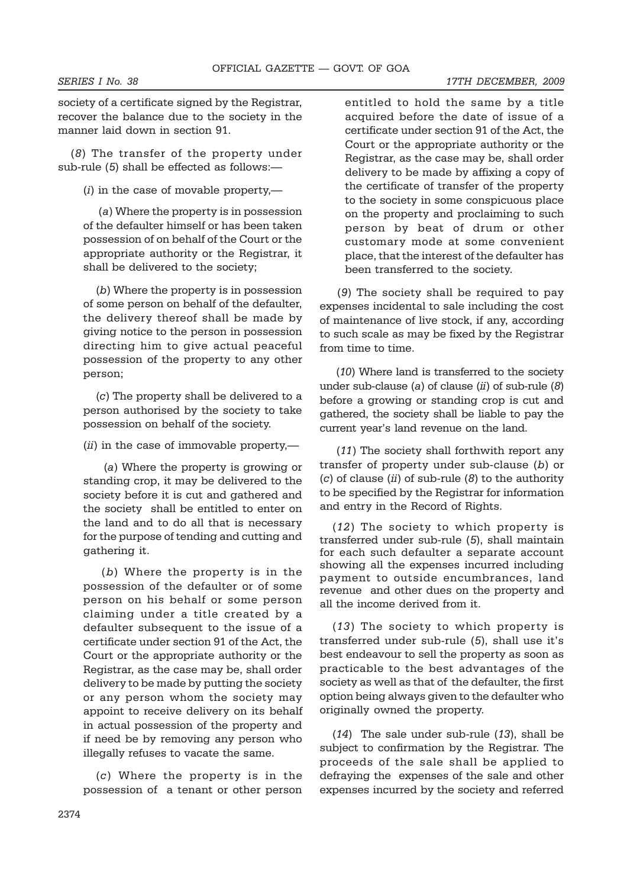society of a certificate signed by the Registrar, recover the balance due to the society in the manner laid down in section 91.

(*8*) The transfer of the property under sub-rule (*5*) shall be effected as follows:—

(*i*) in the case of movable property,—

 (*a*) Where the property is in possession of the defaulter himself or has been taken possession of on behalf of the Court or the appropriate authority or the Registrar, it shall be delivered to the society;

(*b*) Where the property is in possession of some person on behalf of the defaulter, the delivery thereof shall be made by giving notice to the person in possession directing him to give actual peaceful possession of the property to any other person;

(*c*) The property shall be delivered to a person authorised by the society to take possession on behalf of the society.

(*ii*) in the case of immovable property,—

 (*a*) Where the property is growing or standing crop, it may be delivered to the society before it is cut and gathered and the society shall be entitled to enter on the land and to do all that is necessary for the purpose of tending and cutting and gathering it.

 (*b*) Where the property is in the possession of the defaulter or of some person on his behalf or some person claiming under a title created by a defaulter subsequent to the issue of a certificate under section 91 of the Act, the Court or the appropriate authority or the Registrar, as the case may be, shall order delivery to be made by putting the society or any person whom the society may appoint to receive delivery on its behalf in actual possession of the property and if need be by removing any person who illegally refuses to vacate the same.

(*c*) Where the property is in the possession of a tenant or other person

entitled to hold the same by a title acquired before the date of issue of a certificate under section 91 of the Act, the Court or the appropriate authority or the Registrar, as the case may be, shall order delivery to be made by affixing a copy of the certificate of transfer of the property to the society in some conspicuous place on the property and proclaiming to such person by beat of drum or other customary mode at some convenient place, that the interest of the defaulter has been transferred to the society.

 (*9*) The society shall be required to pay expenses incidental to sale including the cost of maintenance of live stock, if any, according to such scale as may be fixed by the Registrar from time to time.

 (*10*) Where land is transferred to the society under sub-clause (*a*) of clause (*ii*) of sub-rule (*8*) before a growing or standing crop is cut and gathered, the society shall be liable to pay the current year's land revenue on the land.

 (*11*) The society shall forthwith report any transfer of property under sub-clause (*b*) or (*c*) of clause (*ii*) of sub-rule (*8*) to the authority to be specified by the Registrar for information and entry in the Record of Rights.

(*12*) The society to which property is transferred under sub-rule (*5*), shall maintain for each such defaulter a separate account showing all the expenses incurred including payment to outside encumbrances, land revenue and other dues on the property and all the income derived from it.

(*13*) The society to which property is transferred under sub-rule (*5*), shall use it's best endeavour to sell the property as soon as practicable to the best advantages of the society as well as that of the defaulter, the first option being always given to the defaulter who originally owned the property.

(*14*) The sale under sub-rule (*13*), shall be subject to confirmation by the Registrar. The proceeds of the sale shall be applied to defraying the expenses of the sale and other expenses incurred by the society and referred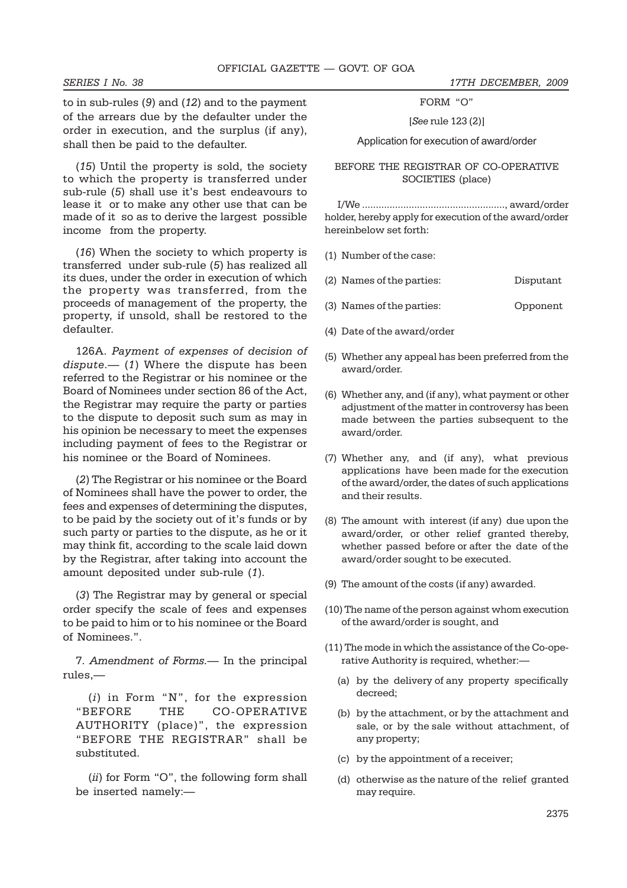to in sub-rules (*9*) and (*12*) and to the payment of the arrears due by the defaulter under the order in execution, and the surplus (if any), shall then be paid to the defaulter.

(*15*) Until the property is sold, the society to which the property is transferred under sub-rule (*5*) shall use it's best endeavours to lease it or to make any other use that can be made of it so as to derive the largest possible income from the property.

(*16*) When the society to which property is transferred under sub-rule (*5*) has realized all its dues, under the order in execution of which the property was transferred, from the proceeds of management of the property, the property, if unsold, shall be restored to the defaulter.

126A. *Payment of expenses of decision of dispute*.— (*1*) Where the dispute has been referred to the Registrar or his nominee or the Board of Nominees under section 86 of the Act, the Registrar may require the party or parties to the dispute to deposit such sum as may in his opinion be necessary to meet the expenses including payment of fees to the Registrar or his nominee or the Board of Nominees.

(*2*) The Registrar or his nominee or the Board of Nominees shall have the power to order, the fees and expenses of determining the disputes, to be paid by the society out of it's funds or by such party or parties to the dispute, as he or it may think fit, according to the scale laid down by the Registrar, after taking into account the amount deposited under sub-rule (*1*).

(*3*) The Registrar may by general or special order specify the scale of fees and expenses to be paid to him or to his nominee or the Board of Nominees.".

7. *Amendment of Forms.*— In the principal rules,—

(*i*) in Form "N", for the expression "BEFORE THE CO-OPERATIVE AUTHORITY (place)", the expression "BEFORE THE REGISTRAR" shall be substituted.

(*ii*) for Form "O", the following form shall be inserted namely:—

FORM "O"

[*See* rule 123 (2)]

Application for execution of award/order

### BEFORE THE REGISTRAR OF CO-OPERATIVE SOCIETIES (place)

I/We ...................................................., award/order holder, hereby apply for execution of the award/order hereinbelow set forth:

- (1) Number of the case:
- (2) Names of the parties: Disputant
- (3) Names of the parties: Opponent
- (4) Date of the award/order
- (5) Whether any appeal has been preferred from the award/order.
- (6) Whether any, and (if any), what payment or other adjustment of the matter in controversy has been made between the parties subsequent to the award/order.
- (7) Whether any, and (if any), what previous applications have been made for the execution of the award/order, the dates of such applications and their results.
- (8) The amount with interest (if any) due upon the award/order, or other relief granted thereby, whether passed before or after the date of the award/order sought to be executed.
- (9) The amount of the costs (if any) awarded.
- (10) The name of the person against whom execution of the award/order is sought, and
- (11) The mode in which the assistance of the Co-operative Authority is required, whether:—
	- (a) by the delivery of any property specifically decreed;
	- (b) by the attachment, or by the attachment and sale, or by the sale without attachment, of any property;
	- (c) by the appointment of a receiver;
	- (d) otherwise as the nature of the relief granted may require.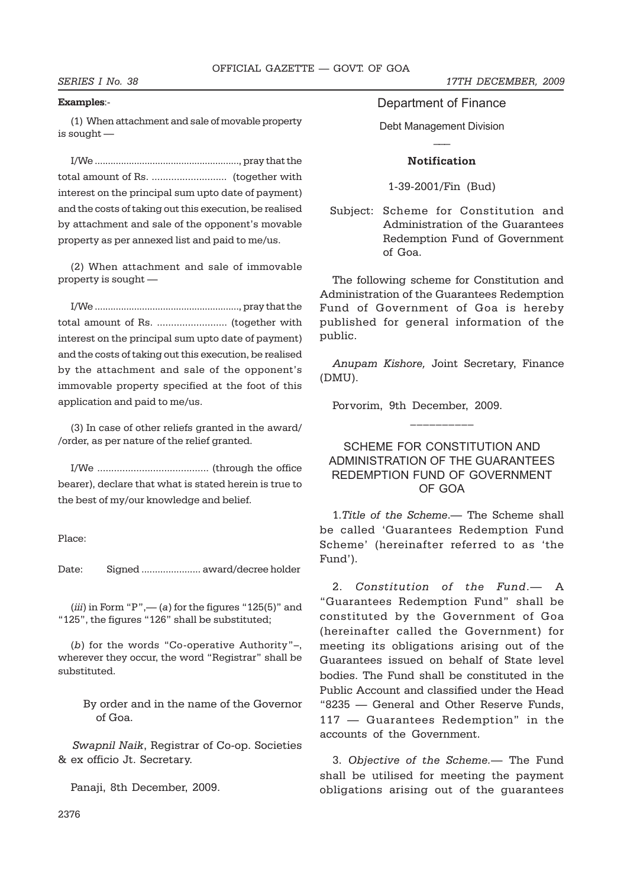### **Examples**:-

(1) When attachment and sale of movable property is sought —

I/We ......................................................., pray that the total amount of Rs. ........................... (together with interest on the principal sum upto date of payment) and the costs of taking out this execution, be realised by attachment and sale of the opponent's movable property as per annexed list and paid to me/us.

(2) When attachment and sale of immovable property is sought —

I/We ......................................................., pray that the total amount of Rs. ......................... (together with interest on the principal sum upto date of payment) and the costs of taking out this execution, be realised by the attachment and sale of the opponent's immovable property specified at the foot of this application and paid to me/us.

(3) In case of other reliefs granted in the award/ /order, as per nature of the relief granted.

I/We ........................................ (through the office bearer), declare that what is stated herein is true to the best of my/our knowledge and belief.

Place:

Date: Signed ...................... award/decree holder

 $(iii)$  in Form "P",— $(a)$  for the figures "125 $(5)$ " and "125", the figures "126" shall be substituted;

(*b*) for the words "Co-operative Authority"–, wherever they occur, the word "Registrar" shall be substituted.

> By order and in the name of the Governor of Goa.

 *Swapnil Naik*, Registrar of Co-op. Societies & ex officio Jt. Secretary.

Panaji, 8th December, 2009.

*SERIES I No. 38 17TH DECEMBER, 2009*

Department of Finance

Debt Management Division  $\overline{\phantom{a}}$ 

### **Notification**

1-39-2001/Fin (Bud)

Subject: Scheme for Constitution and Administration of the Guarantees Redemption Fund of Government of Goa.

The following scheme for Constitution and Administration of the Guarantees Redemption Fund of Government of Goa is hereby published for general information of the public.

*Anupam Kishore,* Joint Secretary, Finance (DMU).

Porvorim, 9th December, 2009.

## SCHEME FOR CONSTITUTION AND ADMINISTRATION OF THE GUARANTEES REDEMPTION FUND OF GOVERNMENT OF GOA

 $\mathcal{L}_\text{max}$ 

1.*Title of the Scheme*.— The Scheme shall be called 'Guarantees Redemption Fund Scheme' (hereinafter referred to as 'the Fund').

2. *Constitution of the Fund*.— A "Guarantees Redemption Fund" shall be constituted by the Government of Goa (hereinafter called the Government) for meeting its obligations arising out of the Guarantees issued on behalf of State level bodies. The Fund shall be constituted in the Public Account and classified under the Head "8235 — General and Other Reserve Funds, 117 — Guarantees Redemption" in the accounts of the Government.

3. *Objective of the Scheme.*— The Fund shall be utilised for meeting the payment obligations arising out of the guarantees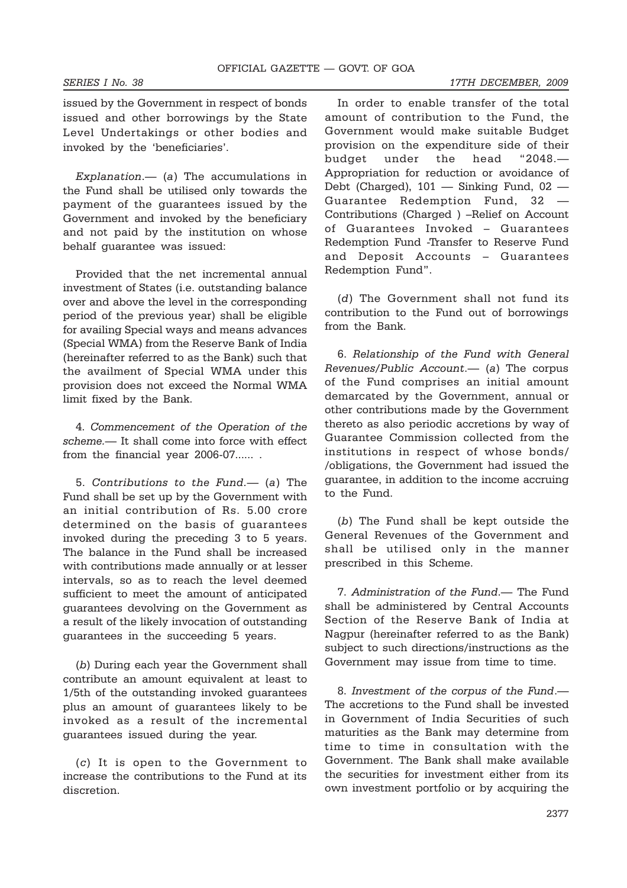issued by the Government in respect of bonds issued and other borrowings by the State Level Undertakings or other bodies and invoked by the 'beneficiaries'.

*Explanation*.— (*a*) The accumulations in the Fund shall be utilised only towards the payment of the guarantees issued by the Government and invoked by the beneficiary and not paid by the institution on whose behalf guarantee was issued:

Provided that the net incremental annual investment of States (i.e. outstanding balance over and above the level in the corresponding period of the previous year) shall be eligible for availing Special ways and means advances (Special WMA) from the Reserve Bank of India (hereinafter referred to as the Bank) such that the availment of Special WMA under this provision does not exceed the Normal WMA limit fixed by the Bank.

4. *Commencement of the Operation of the scheme.*— It shall come into force with effect from the financial year 2006-07...... .

5. *Contributions to the Fund.*— (*a*) The Fund shall be set up by the Government with an initial contribution of Rs. 5.00 crore determined on the basis of guarantees invoked during the preceding 3 to 5 years. The balance in the Fund shall be increased with contributions made annually or at lesser intervals, so as to reach the level deemed sufficient to meet the amount of anticipated guarantees devolving on the Government as a result of the likely invocation of outstanding guarantees in the succeeding 5 years.

(*b*) During each year the Government shall contribute an amount equivalent at least to 1/5th of the outstanding invoked guarantees plus an amount of guarantees likely to be invoked as a result of the incremental guarantees issued during the year.

(*c*) It is open to the Government to increase the contributions to the Fund at its discretion.

In order to enable transfer of the total amount of contribution to the Fund, the Government would make suitable Budget provision on the expenditure side of their budget under the head "2048.— Appropriation for reduction or avoidance of Debt (Charged), 101 — Sinking Fund, 02 — Guarantee Redemption Fund, 32 — Contributions (Charged ) –Relief on Account of Guarantees Invoked – Guarantees Redemption Fund -Transfer to Reserve Fund and Deposit Accounts – Guarantees Redemption Fund".

(*d*) The Government shall not fund its contribution to the Fund out of borrowings from the Bank.

6. *Relationship of the Fund with General Revenues/Public Account*.— (*a*) The corpus of the Fund comprises an initial amount demarcated by the Government, annual or other contributions made by the Government thereto as also periodic accretions by way of Guarantee Commission collected from the institutions in respect of whose bonds/ /obligations, the Government had issued the guarantee, in addition to the income accruing to the Fund.

(*b*) The Fund shall be kept outside the General Revenues of the Government and shall be utilised only in the manner prescribed in this Scheme.

7. *Administration of the Fund*.— The Fund shall be administered by Central Accounts Section of the Reserve Bank of India at Nagpur (hereinafter referred to as the Bank) subject to such directions/instructions as the Government may issue from time to time.

8. *Investment of the corpus of the Fund*.— The accretions to the Fund shall be invested in Government of India Securities of such maturities as the Bank may determine from time to time in consultation with the Government. The Bank shall make available the securities for investment either from its own investment portfolio or by acquiring the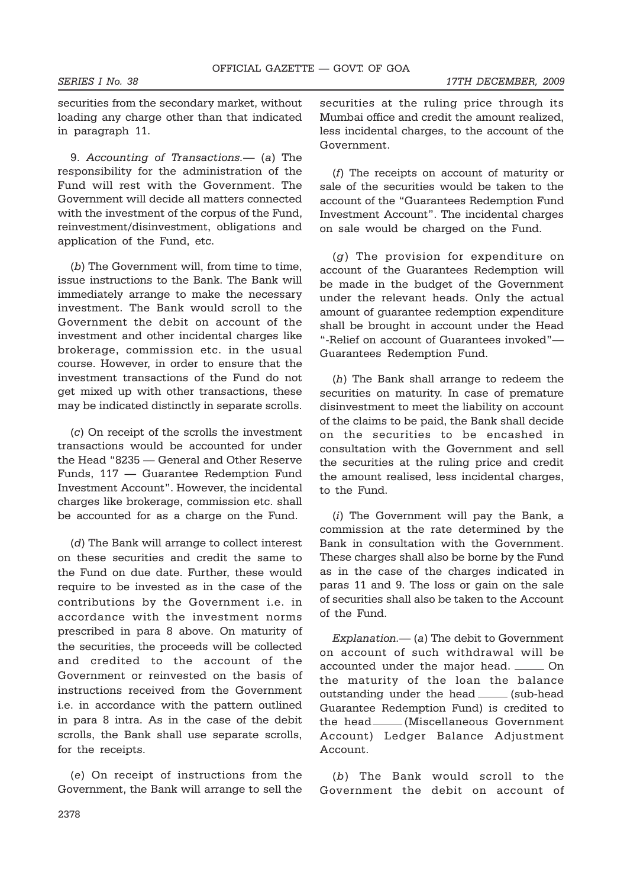securities from the secondary market, without loading any charge other than that indicated in paragraph 11.

9. *Accounting of Transactions.*— (*a*) The responsibility for the administration of the Fund will rest with the Government. The Government will decide all matters connected with the investment of the corpus of the Fund, reinvestment/disinvestment, obligations and application of the Fund, etc.

(*b*) The Government will, from time to time, issue instructions to the Bank. The Bank will immediately arrange to make the necessary investment. The Bank would scroll to the Government the debit on account of the investment and other incidental charges like brokerage, commission etc. in the usual course. However, in order to ensure that the investment transactions of the Fund do not get mixed up with other transactions, these may be indicated distinctly in separate scrolls.

(*c*) On receipt of the scrolls the investment transactions would be accounted for under the Head "8235 — General and Other Reserve Funds, 117 — Guarantee Redemption Fund Investment Account". However, the incidental charges like brokerage, commission etc. shall be accounted for as a charge on the Fund.

(*d*) The Bank will arrange to collect interest on these securities and credit the same to the Fund on due date. Further, these would require to be invested as in the case of the contributions by the Government i.e. in accordance with the investment norms prescribed in para 8 above. On maturity of the securities, the proceeds will be collected and credited to the account of the Government or reinvested on the basis of instructions received from the Government i.e. in accordance with the pattern outlined in para 8 intra. As in the case of the debit scrolls, the Bank shall use separate scrolls, for the receipts.

(*e*) On receipt of instructions from the Government, the Bank will arrange to sell the securities at the ruling price through its Mumbai office and credit the amount realized, less incidental charges, to the account of the Government.

(*f*) The receipts on account of maturity or sale of the securities would be taken to the account of the "Guarantees Redemption Fund Investment Account". The incidental charges on sale would be charged on the Fund.

(*g*) The provision for expenditure on account of the Guarantees Redemption will be made in the budget of the Government under the relevant heads. Only the actual amount of guarantee redemption expenditure shall be brought in account under the Head "-Relief on account of Guarantees invoked"— Guarantees Redemption Fund.

(*h*) The Bank shall arrange to redeem the securities on maturity. In case of premature disinvestment to meet the liability on account of the claims to be paid, the Bank shall decide on the securities to be encashed in consultation with the Government and sell the securities at the ruling price and credit the amount realised, less incidental charges, to the Fund.

(*i*) The Government will pay the Bank, a commission at the rate determined by the Bank in consultation with the Government. These charges shall also be borne by the Fund as in the case of the charges indicated in paras 11 and 9. The loss or gain on the sale of securities shall also be taken to the Account of the Fund.

*Explanation.*— (*a*) The debit to Government on account of such withdrawal will be accounted under the major head. \_\_\_\_\_ On the maturity of the loan the balance outstanding under the head \_\_\_\_\_ (sub-head Guarantee Redemption Fund) is credited to the head (Miscellaneous Government Account) Ledger Balance Adjustment Account.

(*b*) The Bank would scroll to the Government the debit on account of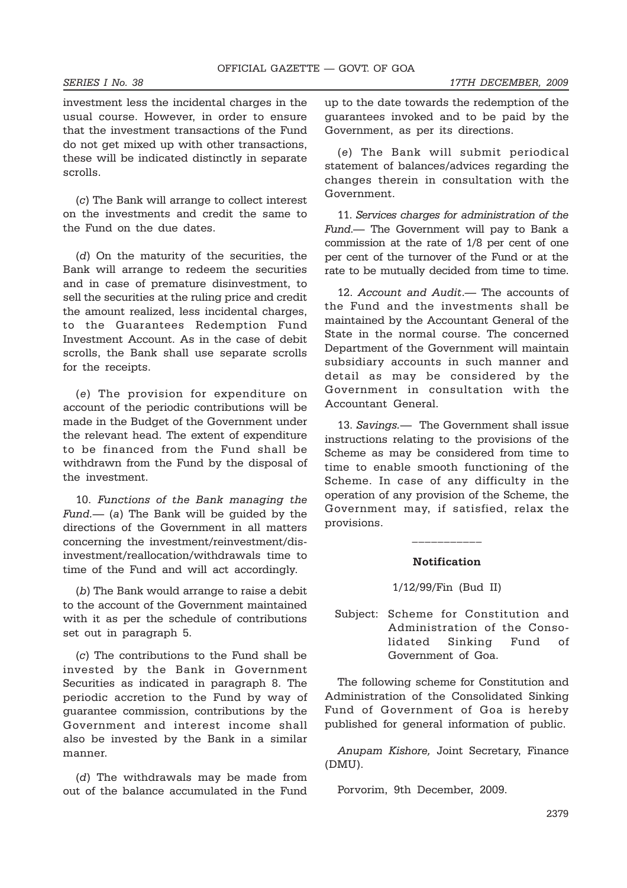investment less the incidental charges in the usual course. However, in order to ensure that the investment transactions of the Fund do not get mixed up with other transactions, these will be indicated distinctly in separate scrolls.

(*c*) The Bank will arrange to collect interest on the investments and credit the same to the Fund on the due dates.

(*d*) On the maturity of the securities, the Bank will arrange to redeem the securities and in case of premature disinvestment, to sell the securities at the ruling price and credit the amount realized, less incidental charges, to the Guarantees Redemption Fund Investment Account. As in the case of debit scrolls, the Bank shall use separate scrolls for the receipts.

(*e*) The provision for expenditure on account of the periodic contributions will be made in the Budget of the Government under the relevant head. The extent of expenditure to be financed from the Fund shall be withdrawn from the Fund by the disposal of the investment.

10. *Functions of the Bank managing the Fund.—* (*a*) The Bank will be guided by the directions of the Government in all matters concerning the investment/reinvestment/disinvestment/reallocation/withdrawals time to time of the Fund and will act accordingly.

(*b*) The Bank would arrange to raise a debit to the account of the Government maintained with it as per the schedule of contributions set out in paragraph 5.

(*c*) The contributions to the Fund shall be invested by the Bank in Government Securities as indicated in paragraph 8. The periodic accretion to the Fund by way of guarantee commission, contributions by the Government and interest income shall also be invested by the Bank in a similar manner.

(*d*) The withdrawals may be made from out of the balance accumulated in the Fund up to the date towards the redemption of the guarantees invoked and to be paid by the Government, as per its directions.

(*e*) The Bank will submit periodical statement of balances/advices regarding the changes therein in consultation with the Government.

11. *Services charges for administration of the Fund*.— The Government will pay to Bank a commission at the rate of 1/8 per cent of one per cent of the turnover of the Fund or at the rate to be mutually decided from time to time.

12. *Account and Audit*.— The accounts of the Fund and the investments shall be maintained by the Accountant General of the State in the normal course. The concerned Department of the Government will maintain subsidiary accounts in such manner and detail as may be considered by the Government in consultation with the Accountant General.

13. *Savings.*— The Government shall issue instructions relating to the provisions of the Scheme as may be considered from time to time to enable smooth functioning of the Scheme. In case of any difficulty in the operation of any provision of the Scheme, the Government may, if satisfied, relax the provisions.

### **Notification**

 $\mathcal{L}_\text{max}$ 

1/12/99/Fin (Bud II)

Subject: Scheme for Constitution and Administration of the Consolidated Sinking Fund of Government of Goa.

The following scheme for Constitution and Administration of the Consolidated Sinking Fund of Government of Goa is hereby published for general information of public.

*Anupam Kishore,* Joint Secretary, Finance (DMU).

Porvorim, 9th December, 2009.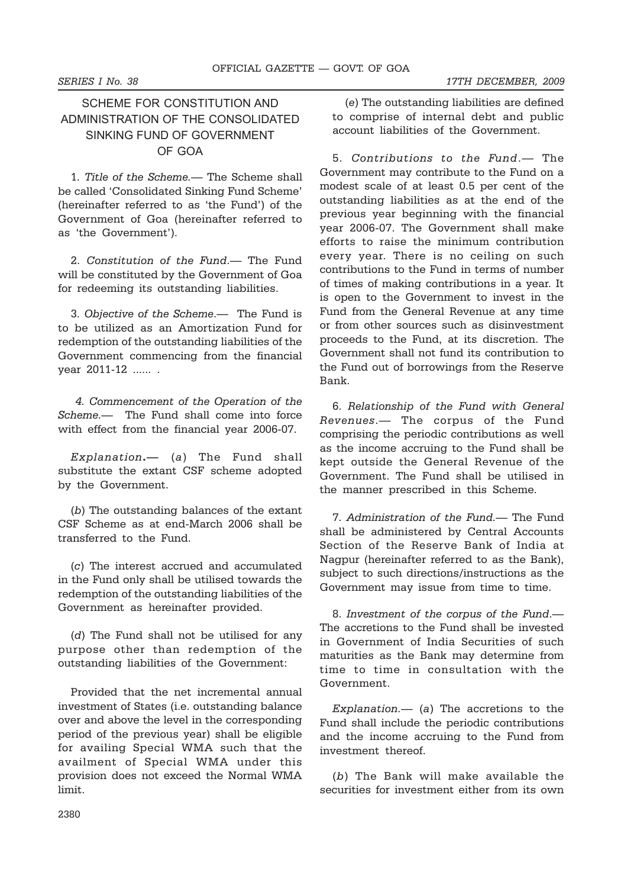# SCHEME FOR CONSTITUTION AND ADMINISTRATION OF THE CONSOLIDATED SINKING FUND OF GOVERNMENT OF GOA

1. *Title of the Scheme.*— The Scheme shall be called 'Consolidated Sinking Fund Scheme' (hereinafter referred to as 'the Fund') of the Government of Goa (hereinafter referred to as 'the Government').

2. *Constitution of the Fund*.— The Fund will be constituted by the Government of Goa for redeeming its outstanding liabilities.

3. *Objective of the Scheme*.— The Fund is to be utilized as an Amortization Fund for redemption of the outstanding liabilities of the Government commencing from the financial year 2011-12 ...... .

*4. Commencement of the Operation of the Scheme.—* The Fund shall come into force with effect from the financial year 2006-07.

*Explanation***.—** (*a*) The Fund shall substitute the extant CSF scheme adopted by the Government.

(*b*) The outstanding balances of the extant CSF Scheme as at end-March 2006 shall be transferred to the Fund.

(*c*) The interest accrued and accumulated in the Fund only shall be utilised towards the redemption of the outstanding liabilities of the Government as hereinafter provided.

(*d*) The Fund shall not be utilised for any purpose other than redemption of the outstanding liabilities of the Government:

Provided that the net incremental annual investment of States (i.e. outstanding balance over and above the level in the corresponding period of the previous year) shall be eligible for availing Special WMA such that the availment of Special WMA under this provision does not exceed the Normal WMA limit.

(*e*) The outstanding liabilities are defined to comprise of internal debt and public account liabilities of the Government.

5. *Contributions to the Fund*.— The Government may contribute to the Fund on a modest scale of at least 0.5 per cent of the outstanding liabilities as at the end of the previous year beginning with the financial year 2006-07. The Government shall make efforts to raise the minimum contribution every year. There is no ceiling on such contributions to the Fund in terms of number of times of making contributions in a year. It is open to the Government to invest in the Fund from the General Revenue at any time or from other sources such as disinvestment proceeds to the Fund, at its discretion. The Government shall not fund its contribution to the Fund out of borrowings from the Reserve Bank.

6. *Relationship of the Fund with General Revenues*.— The corpus of the Fund comprising the periodic contributions as well as the income accruing to the Fund shall be kept outside the General Revenue of the Government. The Fund shall be utilised in the manner prescribed in this Scheme.

7. *Administration of the Fund.*— The Fund shall be administered by Central Accounts Section of the Reserve Bank of India at Nagpur (hereinafter referred to as the Bank), subject to such directions/instructions as the Government may issue from time to time.

8. *Investment of the corpus of the Fund*.— The accretions to the Fund shall be invested in Government of India Securities of such maturities as the Bank may determine from time to time in consultation with the Government.

*Explanation.—* (*a*) The accretions to the Fund shall include the periodic contributions and the income accruing to the Fund from investment thereof.

(*b*) The Bank will make available the securities for investment either from its own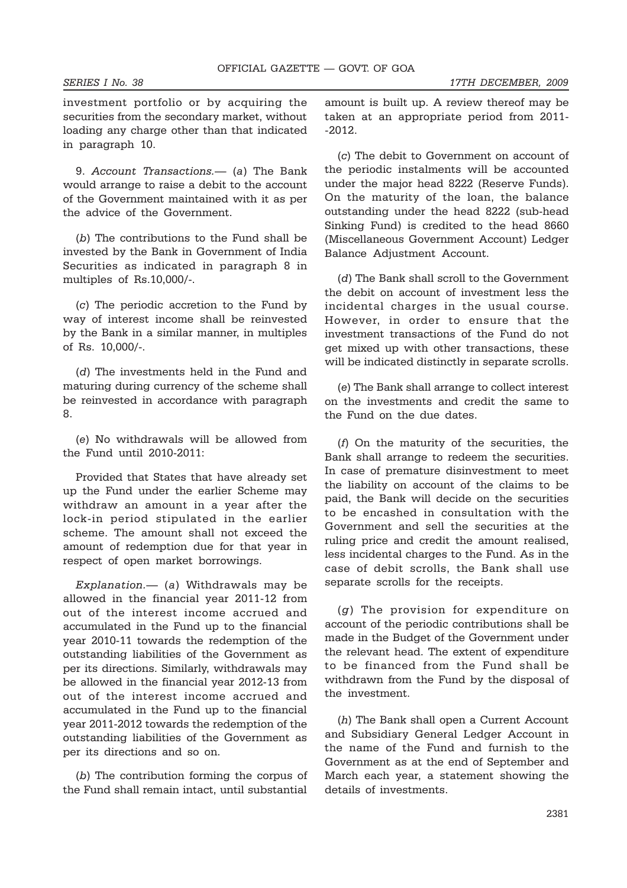investment portfolio or by acquiring the securities from the secondary market, without loading any charge other than that indicated in paragraph 10.

9. *Account Transactions.*— (*a*) The Bank would arrange to raise a debit to the account of the Government maintained with it as per the advice of the Government.

(*b*) The contributions to the Fund shall be invested by the Bank in Government of India Securities as indicated in paragraph 8 in multiples of Rs.10,000/-.

(*c*) The periodic accretion to the Fund by way of interest income shall be reinvested by the Bank in a similar manner, in multiples of Rs. 10,000/-.

(*d*) The investments held in the Fund and maturing during currency of the scheme shall be reinvested in accordance with paragraph 8.

(*e*) No withdrawals will be allowed from the Fund until 2010-2011:

Provided that States that have already set up the Fund under the earlier Scheme may withdraw an amount in a year after the lock-in period stipulated in the earlier scheme. The amount shall not exceed the amount of redemption due for that year in respect of open market borrowings.

*Explanation.—* (*a*) Withdrawals may be allowed in the financial year 2011-12 from out of the interest income accrued and accumulated in the Fund up to the financial year 2010-11 towards the redemption of the outstanding liabilities of the Government as per its directions. Similarly, withdrawals may be allowed in the financial year 2012-13 from out of the interest income accrued and accumulated in the Fund up to the financial year 2011-2012 towards the redemption of the outstanding liabilities of the Government as per its directions and so on.

(*b*) The contribution forming the corpus of the Fund shall remain intact, until substantial

amount is built up. A review thereof may be taken at an appropriate period from 2011- -2012.

(*c*) The debit to Government on account of the periodic instalments will be accounted under the major head 8222 (Reserve Funds). On the maturity of the loan, the balance outstanding under the head 8222 (sub-head Sinking Fund) is credited to the head 8660 (Miscellaneous Government Account) Ledger Balance Adjustment Account.

(*d*) The Bank shall scroll to the Government the debit on account of investment less the incidental charges in the usual course. However, in order to ensure that the investment transactions of the Fund do not get mixed up with other transactions, these will be indicated distinctly in separate scrolls.

(*e*) The Bank shall arrange to collect interest on the investments and credit the same to the Fund on the due dates.

(*f*) On the maturity of the securities, the Bank shall arrange to redeem the securities. In case of premature disinvestment to meet the liability on account of the claims to be paid, the Bank will decide on the securities to be encashed in consultation with the Government and sell the securities at the ruling price and credit the amount realised, less incidental charges to the Fund. As in the case of debit scrolls, the Bank shall use separate scrolls for the receipts.

(*g*) The provision for expenditure on account of the periodic contributions shall be made in the Budget of the Government under the relevant head. The extent of expenditure to be financed from the Fund shall be withdrawn from the Fund by the disposal of the investment.

(*h*) The Bank shall open a Current Account and Subsidiary General Ledger Account in the name of the Fund and furnish to the Government as at the end of September and March each year, a statement showing the details of investments.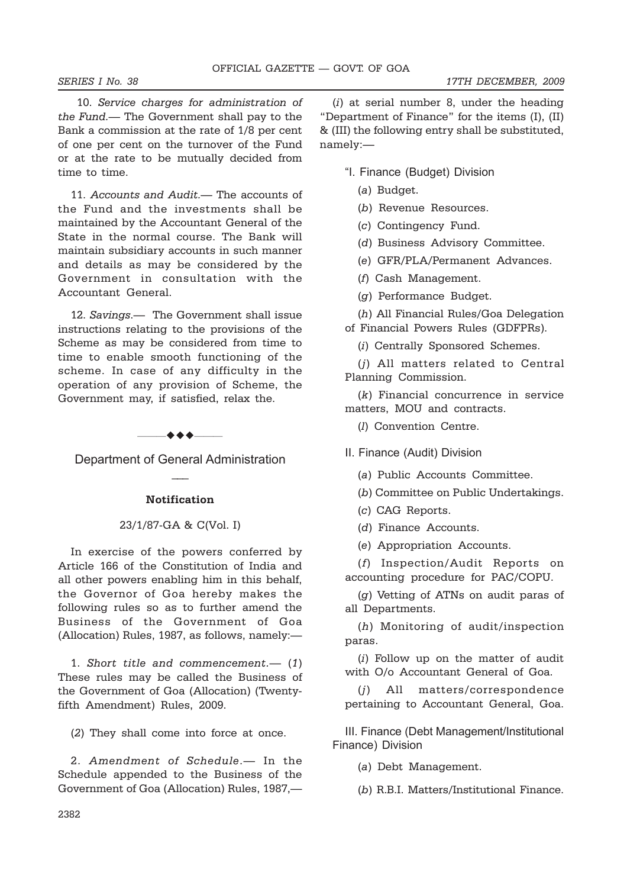10. *Service charges for administration of the Fund.*— The Government shall pay to the Bank a commission at the rate of 1/8 per cent of one per cent on the turnover of the Fund or at the rate to be mutually decided from time to time.

11. *Accounts and Audit.*— The accounts of the Fund and the investments shall be maintained by the Accountant General of the State in the normal course. The Bank will maintain subsidiary accounts in such manner and details as may be considered by the Government in consultation with the Accountant General.

12. *Savings*.— The Government shall issue instructions relating to the provisions of the Scheme as may be considered from time to time to enable smooth functioning of the scheme. In case of any difficulty in the operation of any provision of Scheme, the Government may, if satisfied, relax the.



Department of General Administration  $\overline{\phantom{a}}$ 

### **Notification**

## 23/1/87-GA & C(Vol. I)

In exercise of the powers conferred by Article 166 of the Constitution of India and all other powers enabling him in this behalf, the Governor of Goa hereby makes the following rules so as to further amend the Business of the Government of Goa (Allocation) Rules, 1987, as follows, namely:—

1. *Short title and commencement.*— (*1*) These rules may be called the Business of the Government of Goa (Allocation) (Twentyfifth Amendment) Rules, 2009.

(*2*) They shall come into force at once.

2. *Amendment of Schedule*.— In the Schedule appended to the Business of the Government of Goa (Allocation) Rules, 1987,—

(*i*) at serial number 8, under the heading "Department of Finance" for the items (I), (II) & (III) the following entry shall be substituted, namely:—

"I. Finance (Budget) Division

- (*a*) Budget.
- (*b*) Revenue Resources.
- (*c*) Contingency Fund.

(*d*) Business Advisory Committee.

- (*e*) GFR/PLA/Permanent Advances.
- (*f*) Cash Management.
- (*g*) Performance Budget.

(*h*) All Financial Rules/Goa Delegation of Financial Powers Rules (GDFPRs).

(*i*) Centrally Sponsored Schemes.

(*j*) All matters related to Central Planning Commission.

(*k*) Financial concurrence in service matters, MOU and contracts.

(*l*) Convention Centre.

II. Finance (Audit) Division

- (*a*) Public Accounts Committee.
- (*b*) Committee on Public Undertakings.
- (*c*) CAG Reports.
- (*d*) Finance Accounts.
- (*e*) Appropriation Accounts.

(*f*) Inspection/Audit Reports on accounting procedure for PAC/COPU.

(*g*) Vetting of ATNs on audit paras of all Departments.

(*h*) Monitoring of audit/inspection paras.

(*i*) Follow up on the matter of audit with O/o Accountant General of Goa.

(*j*) All matters/correspondence pertaining to Accountant General, Goa.

III. Finance (Debt Management/Institutional Finance) Division

(*a*) Debt Management.

(*b*) R.B.I. Matters/Institutional Finance.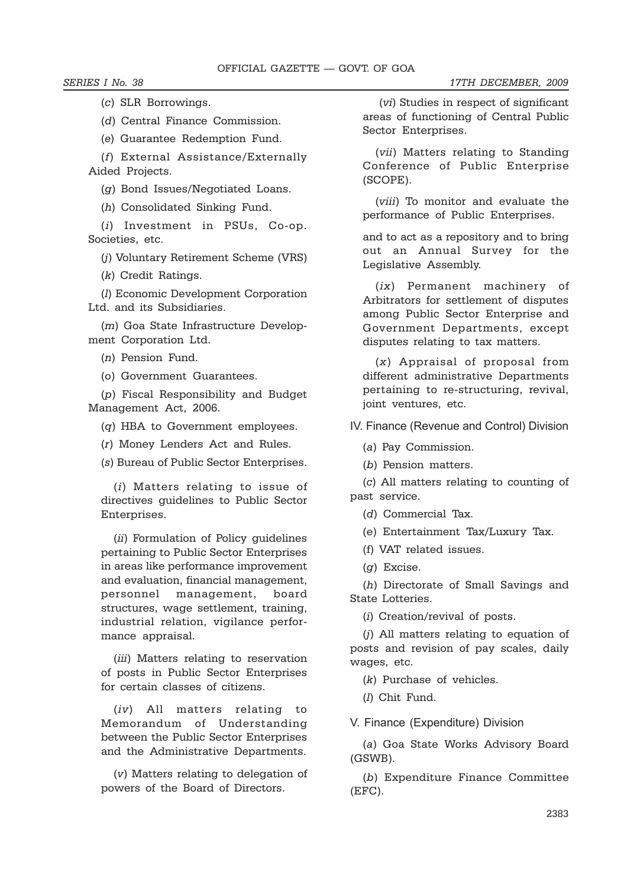*SERIES I No. 38 17TH DECEMBER, 2009*

(*c*) SLR Borrowings.

(*d*) Central Finance Commission.

(*e*) Guarantee Redemption Fund.

(*f*) External Assistance/Externally Aided Projects.

(*g*) Bond Issues/Negotiated Loans.

(*h*) Consolidated Sinking Fund.

(*i*) Investment in PSUs, Co-op. Societies, etc.

(*j*) Voluntary Retirement Scheme (VRS)

(*k*) Credit Ratings.

(*l*) Economic Development Corporation Ltd. and its Subsidiaries.

(*m*) Goa State Infrastructure Development Corporation Ltd.

(*n*) Pension Fund.

(o) Government Guarantees.

(*p*) Fiscal Responsibility and Budget Management Act, 2006.

(*q*) HBA to Government employees.

(*r*) Money Lenders Act and Rules.

(*s*) Bureau of Public Sector Enterprises.

(*i*) Matters relating to issue of directives guidelines to Public Sector Enterprises.

(*ii*) Formulation of Policy guidelines pertaining to Public Sector Enterprises in areas like performance improvement and evaluation, financial management, personnel management, board structures, wage settlement, training, industrial relation, vigilance performance appraisal.

(*iii*) Matters relating to reservation of posts in Public Sector Enterprises for certain classes of citizens.

(*iv*) All matters relating to Memorandum of Understanding between the Public Sector Enterprises and the Administrative Departments.

(*v*) Matters relating to delegation of powers of the Board of Directors.

 (*vi*) Studies in respect of significant areas of functioning of Central Public Sector Enterprises.

(*vii*) Matters relating to Standing Conference of Public Enterprise (SCOPE).

(*viii*) To monitor and evaluate the performance of Public Enterprises.

and to act as a repository and to bring out an Annual Survey for the Legislative Assembly.

(*ix*) Permanent machinery of Arbitrators for settlement of disputes among Public Sector Enterprise and Government Departments, except disputes relating to tax matters.

(*x*) Appraisal of proposal from different administrative Departments pertaining to re-structuring, revival, joint ventures, etc.

IV. Finance (Revenue and Control) Division

(*a*) Pay Commission.

(*b*) Pension matters.

(*c*) All matters relating to counting of past service.

(*d*) Commercial Tax.

(e) Entertainment Tax/Luxury Tax.

(f) VAT related issues.

(*g*) Excise.

(*h*) Directorate of Small Savings and State Lotteries.

(*i*) Creation/revival of posts.

(*j*) All matters relating to equation of posts and revision of pay scales, daily wages, etc.

(*k*) Purchase of vehicles.

(*l*) Chit Fund.

V. Finance (Expenditure) Division

(*a*) Goa State Works Advisory Board (GSWB).

(*b*) Expenditure Finance Committee (EFC).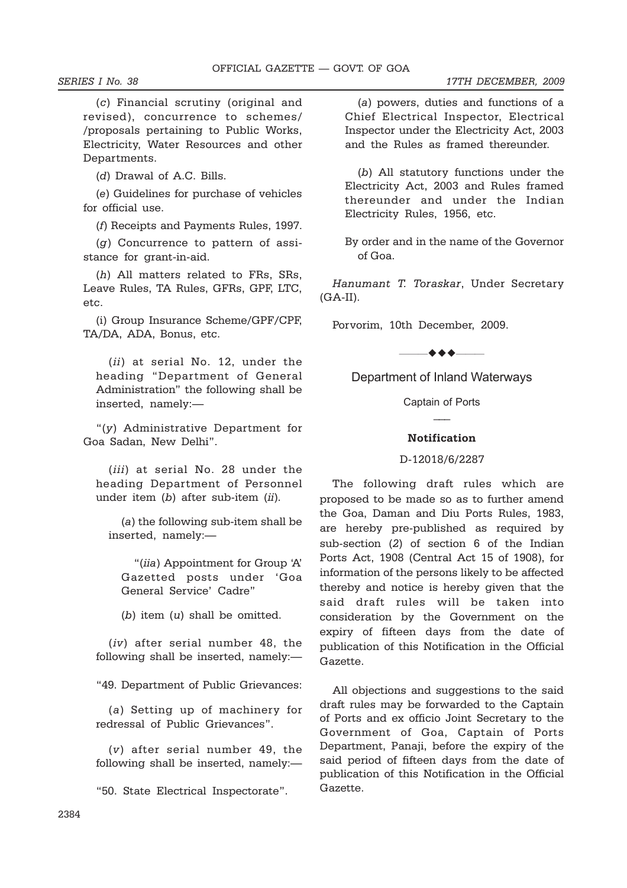(*c*) Financial scrutiny (original and revised), concurrence to schemes/ /proposals pertaining to Public Works, Electricity, Water Resources and other Departments.

(*d*) Drawal of A.C. Bills.

(*e*) Guidelines for purchase of vehicles for official use.

(*f*) Receipts and Payments Rules, 1997.

(*g*) Concurrence to pattern of assistance for grant-in-aid.

(*h*) All matters related to FRs, SRs, Leave Rules, TA Rules, GFRs, GPF, LTC, etc.

(i) Group Insurance Scheme/GPF*/*CPF, TA/DA, ADA, Bonus, etc.

(*ii*) at serial No. 12, under the heading "Department of General Administration" the following shall be inserted, namely:—

"(*y*) Administrative Department for Goa Sadan, New Delhi".

(*iii*) at serial No. 28 under the heading Department of Personnel under item (*b*) after sub-item (*ii*).

(*a*) the following sub-item shall be inserted, namely:—

"(*iia*) Appointment for Group 'A' Gazetted posts under 'Goa General Service' Cadre"

(*b*) item (*u*) shall be omitted.

(*iv*) after serial number 48, the following shall be inserted, namely:—

"49. Department of Public Grievances:

(*a*) Setting up of machinery for redressal of Public Grievances".

(*v*) after serial number 49, the following shall be inserted, namely:—

"50. State Electrical Inspectorate".

(*a*) powers, duties and functions of a Chief Electrical Inspector, Electrical Inspector under the Electricity Act, 2003 and the Rules as framed thereunder.

(*b*) All statutory functions under the Electricity Act, 2003 and Rules framed thereunder and under the Indian Electricity Rules, 1956, etc.

By order and in the name of the Governor of Goa.

*Hanumant T. Toraskar*, Under Secretary  $(GA-II).$ 

Porvorim, 10th December, 2009.

 $\bullet\bullet\bullet-$ 

Department of Inland Waterways

Captain of Ports  $\overline{\phantom{a}}$ 

### **Notification**

## D-12018/6/2287

The following draft rules which are proposed to be made so as to further amend the Goa, Daman and Diu Ports Rules, 1983, are hereby pre-published as required by sub-section (*2*) of section 6 of the Indian Ports Act, 1908 (Central Act 15 of 1908), for information of the persons likely to be affected thereby and notice is hereby given that the said draft rules will be taken into consideration by the Government on the expiry of fifteen days from the date of publication of this Notification in the Official Gazette.

All objections and suggestions to the said draft rules may be forwarded to the Captain of Ports and ex officio Joint Secretary to the Government of Goa, Captain of Ports Department, Panaji, before the expiry of the said period of fifteen days from the date of publication of this Notification in the Official Gazette.